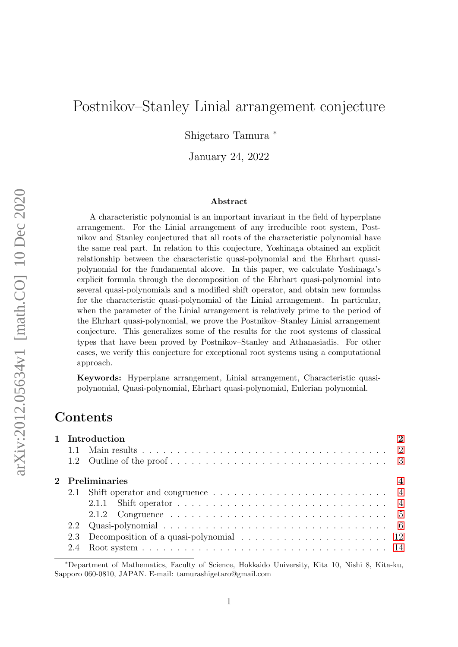# <span id="page-0-0"></span>Postnikov–Stanley Linial arrangement conjecture

Shigetaro Tamura <sup>∗</sup>

January 24, 2022

#### Abstract

A characteristic polynomial is an important invariant in the field of hyperplane arrangement. For the Linial arrangement of any irreducible root system, Postnikov and Stanley conjectured that all roots of the characteristic polynomial have the same real part. In relation to this conjecture, Yoshinaga obtained an explicit relationship between the characteristic quasi-polynomial and the Ehrhart quasipolynomial for the fundamental alcove. In this paper, we calculate Yoshinaga's explicit formula through the decomposition of the Ehrhart quasi-polynomial into several quasi-polynomials and a modified shift operator, and obtain new formulas for the characteristic quasi-polynomial of the Linial arrangement. In particular, when the parameter of the Linial arrangement is relatively prime to the period of the Ehrhart quasi-polynomial, we prove the Postnikov–Stanley Linial arrangement conjecture. This generalizes some of the results for the root systems of classical types that have been proved by Postnikov–Stanley and Athanasiadis. For other cases, we verify this conjecture for exceptional root systems using a computational approach.

Keywords: Hyperplane arrangement, Linial arrangement, Characteristic quasipolynomial, Quasi-polynomial, Ehrhart quasi-polynomial, Eulerian polynomial.

# Contents

|  | 1 Introduction  | $\overline{2}$   |
|--|-----------------|------------------|
|  |                 |                  |
|  |                 |                  |
|  | 2 Preliminaries | $\boldsymbol{4}$ |
|  |                 |                  |
|  |                 |                  |
|  |                 |                  |
|  |                 |                  |
|  |                 |                  |
|  |                 |                  |

<sup>∗</sup>Department of Mathematics, Faculty of Science, Hokkaido University, Kita 10, Nishi 8, Kita-ku, Sapporo 060-0810, JAPAN. E-mail: tamurashigetaro@gmail.com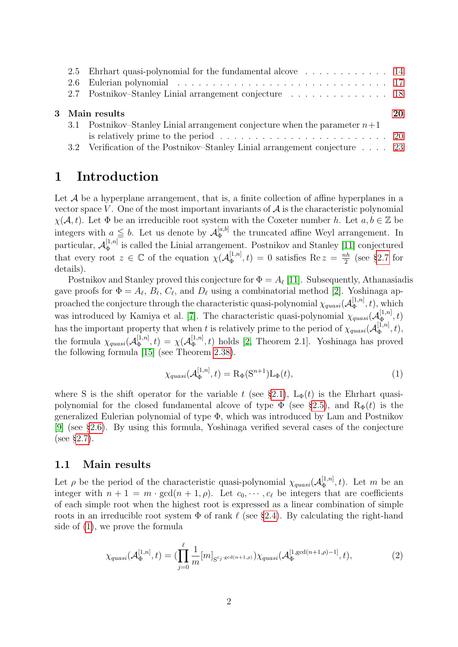|                | 2.5 Ehrhart quasi-polynomial for the fundamental alcove  14                  |  |  |  |
|----------------|------------------------------------------------------------------------------|--|--|--|
|                |                                                                              |  |  |  |
|                | 2.7 Postnikov–Stanley Linial arrangement conjecture 18                       |  |  |  |
| 3 Main results |                                                                              |  |  |  |
|                | 3.1 Postnikov–Stanley Linial arrangement conjecture when the parameter $n+1$ |  |  |  |
|                |                                                                              |  |  |  |
|                |                                                                              |  |  |  |

# <span id="page-1-0"></span>1 Introduction

Let  $\mathcal A$  be a hyperplane arrangement, that is, a finite collection of affine hyperplanes in a vector space V. One of the most important invariants of  $A$  is the characteristic polynomial  $\chi(A, t)$ . Let  $\Phi$  be an irreducible root system with the Coxeter number h. Let  $a, b \in \mathbb{Z}$  be integers with  $a \leq b$ . Let us denote by  $\mathcal{A}_{\Phi}^{[a,b]}$  $\mathbb{F}_{\Phi}^{[a,0]}$  the truncated affine Weyl arrangement. In particular,  $\mathcal{A}_{\Phi}^{[1,n]}$  $\Phi_{\Phi}^{[1,n]}$  is called the Linial arrangement. Postnikov and Stanley [\[11\]](#page-25-0) conjectured that every root  $z \in \mathbb{C}$  of the equation  $\chi(\mathcal{A}_{\Phi}^{[1,n]}$  $\binom{[1,n]}{\Phi}, t) = 0$  satisfies Re  $z = \frac{nh}{2}$  $\frac{ih}{2}$  (see §[2.7](#page-17-0) for details).

Postnikov and Stanley proved this conjecture for  $\Phi = A_{\ell}$  [\[11\]](#page-25-0). Subsequently, Athanasiadis gave proofs for  $\Phi = A_{\ell}, B_{\ell}, C_{\ell}$ , and  $D_{\ell}$  using a combinatorial method [\[2\]](#page-25-1). Yoshinaga approached the conjecture through the characteristic quasi-polynomial  $\chi_{quasi}(\mathcal{A}_{\Phi}^{[1,n]})$  $(\frac{1}{\Phi}, t)$ , which was introduced by Kamiya et al. [\[7\]](#page-25-2). The characteristic quasi-polynomial  $\chi_{quasi}(\mathcal{A}_{\Phi}^{[1,n]})$  $\overline{\Phi}^{[1,n]},t)$ has the important property that when t is relatively prime to the period of  $\chi_{quasi}(\mathcal{A}_{\Phi}^{[1,n]})$  $\Phi_{\Phi}^{[1,n]},t),$ the formula  $\chi_{quasi}(\mathcal{A}_{\Phi}^{[1,n]})$  $\mathcal{A}_{\Phi}^{[1,n]},t)=\chi(\mathcal{A}_{\Phi}^{[1,n]}% )\otimes\mathcal{A}_{\Phi}^{[1,n]}(\mathcal{A}_{\Phi}^{[1,n]}% )$  $\mathbb{E}_{\Phi}^{[1,n]}(t)$  holds [\[2,](#page-25-1) Theorem 2.1]. Yoshinaga has proved the following formula [\[15\]](#page-26-0) (see Theorem [2.38\)](#page-18-0).

<span id="page-1-2"></span>
$$
\chi_{quasi}(\mathcal{A}_{\Phi}^{[1,n]},t) = \mathcal{R}_{\Phi}(\mathcal{S}^{n+1})\mathcal{L}_{\Phi}(t),\tag{1}
$$

where S is the shift operator for the variable t (see §[2.1\)](#page-3-1),  $L_{\Phi}(t)$  is the Ehrhart quasipolynomial for the closed fundamental alcove of type  $\Phi$  (see §[2.5\)](#page-13-1), and  $R_{\Phi}(t)$  is the generalized Eulerian polynomial of type Φ, which was introduced by Lam and Postnikov [\[9\]](#page-25-3) (see §[2.6\)](#page-16-0). By using this formula, Yoshinaga verified several cases of the conjecture (see §[2.7\)](#page-17-0).

### <span id="page-1-1"></span>1.1 Main results

Let  $\rho$  be the period of the characteristic quasi-polynomial  $\chi_{quasi}(\mathcal{A}_{\Phi}^{[1,n]})$  $\mathcal{L}_{\Phi}^{[1,n]}(t)$ . Let m be an integer with  $n + 1 = m \cdot \gcd(n + 1, \rho)$ . Let  $c_0, \dots, c_\ell$  be integers that are coefficients of each simple root when the highest root is expressed as a linear combination of simple roots in an irreducible root system  $\Phi$  of rank  $\ell$  (see §[2.4\)](#page-13-0). By calculating the right-hand side of [\(1\)](#page-1-2), we prove the formula

<span id="page-1-3"></span>
$$
\chi_{quasi}(\mathcal{A}_{\Phi}^{[1,n]},t) = \left(\prod_{j=0}^{\ell} \frac{1}{m} [m]_{\mathcal{S}^{c_j \cdot \text{gcd}(n+1,\rho)}}\right) \chi_{quasi}(\mathcal{A}_{\Phi}^{[1,\text{gcd}(n+1,\rho)-1]},t),\tag{2}
$$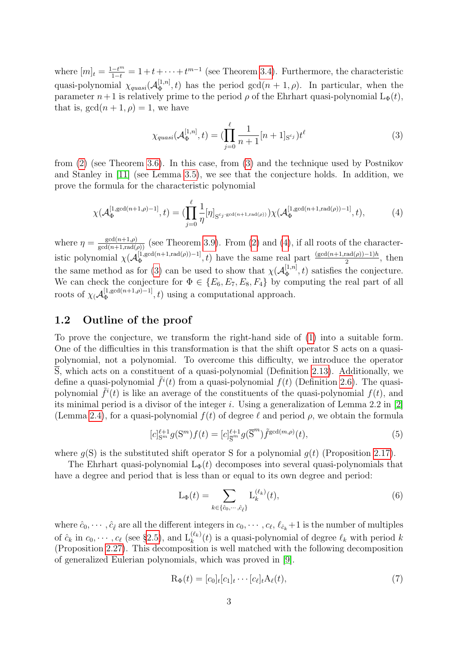where  $[m]_t = \frac{1-t^m}{1-t} = 1+t+\cdots+t^{m-1}$  (see Theorem [3.4\)](#page-20-0). Furthermore, the characteristic quasi-polynomial  $\chi_{quasi}(\mathcal{A}_{\Phi}^{[1,n]})$  $\mathbb{E}_{\Phi}^{[1,n]}(t)$  has the period  $gcd(n+1,\rho)$ . In particular, when the parameter  $n+1$  is relatively prime to the period  $\rho$  of the Ehrhart quasi-polynomial  $L_{\Phi}(t)$ , that is,  $gcd(n + 1, \rho) = 1$ , we have

<span id="page-2-1"></span>
$$
\chi_{quasi}(\mathcal{A}_{\Phi}^{[1,n]},t) = (\prod_{j=0}^{\ell} \frac{1}{n+1}[n+1]_{\mathcal{S}^{c_j}})t^{\ell}
$$
(3)

from [\(2\)](#page-1-3) (see Theorem [3.6\)](#page-20-1). In this case, from [\(3\)](#page-2-1) and the technique used by Postnikov and Stanley in [\[11\]](#page-25-0) (see Lemma [3.5\)](#page-20-2), we see that the conjecture holds. In addition, we prove the formula for the characteristic polynomial

<span id="page-2-2"></span>
$$
\chi(\mathcal{A}_{\Phi}^{[1,\gcd(n+1,\rho)-1]},t) = (\prod_{j=0}^{\ell} \frac{1}{\eta} [\eta]_{S^{c_j:\gcd(n+1,\text{rad}(\rho))}}) \chi(\mathcal{A}_{\Phi}^{[1,\gcd(n+1,\text{rad}(\rho))-1]},t), \tag{4}
$$

where  $\eta = \frac{\gcd(n+1,\rho)}{\gcd(n+1,\text{rad}(\rho))}$  (see Theorem [3.9\)](#page-21-0). From [\(2\)](#page-1-3) and [\(4\)](#page-2-2), if all roots of the characteristic polynomial  $\chi(\mathcal{A}_{\Phi}^{[1, \gcd(n+1, \text{rad}(\rho)) - 1]}$  $\left[\frac{(1, \gcd(n+1, \text{rad}(\rho)) - 1)}{2}, t\right]$  have the same real part  $\frac{(\gcd(n+1, \text{rad}(\rho)) - 1)h}{2}$ , then the same method as for [\(3\)](#page-2-1) can be used to show that  $\chi(A_{\Phi}^{[1,n]}$  $\mathbb{E}_{\Phi}^{[1,n]}(t)$  satisfies the conjecture. We can check the conjecture for  $\Phi \in \{E_6, E_7, E_8, F_4\}$  by computing the real part of all roots of  $\chi$ ( $\mathcal{A}_{\Phi}^{[1,\mathrm{gcd}(n+1,\rho)-1]}$  $\Phi_{\Phi}^{[1,\text{gcd}(n+1,\rho)-1]},t)$  using a computational approach.

### <span id="page-2-0"></span>1.2 Outline of the proof

To prove the conjecture, we transform the right-hand side of [\(1\)](#page-1-2) into a suitable form. One of the difficulties in this transformation is that the shift operator S acts on a quasipolynomial, not a polynomial. To overcome this difficulty, we introduce the operator  $\overline{S}$ , which acts on a constituent of a quasi-polynomial (Definition [2.13\)](#page-9-0). Additionally, we define a quasi-polynomial  $\tilde{f}^i(t)$  from a quasi-polynomial  $f(t)$  (Definition [2.6\)](#page-6-0). The quasipolynomial  $\tilde{f}^{i}(t)$  is like an average of the constituents of the quasi-polynomial  $f(t)$ , and its minimal period is a divisor of the integer i. Using a generalization of Lemma 2.2 in  $[2]$ (Lemma [2.4\)](#page-5-1), for a quasi-polynomial  $f(t)$  of degree  $\ell$  and period  $\rho$ , we obtain the formula

<span id="page-2-4"></span>
$$
[c]_{\mathcal{S}^m}^{\ell+1} g(\mathcal{S}^m) f(t) = [c]_{\overline{\mathcal{S}}^m}^{\ell+1} g(\overline{\mathcal{S}}^m) \tilde{f}^{\gcd(m,\rho)}(t), \tag{5}
$$

where  $q(S)$  is the substituted shift operator S for a polynomial  $q(t)$  (Proposition [2.17\)](#page-11-1).

The Ehrhart quasi-polynomial  $L_{\Phi}(t)$  decomposes into several quasi-polynomials that have a degree and period that is less than or equal to its own degree and period:

<span id="page-2-5"></span>
$$
L_{\Phi}(t) = \sum_{k \in \{\hat{c}_0, \cdots, \hat{c}_{\hat{\ell}}\}} L_k^{(\ell_k)}(t),\tag{6}
$$

where  $\hat{c}_0, \cdots, \hat{c}_{\hat{\ell}}$  are all the different integers in  $c_0, \cdots, c_{\ell}, \ell_{\hat{c}_k} + 1$  is the number of multiples of  $\hat{c}_k$  in  $c_0, \dots, c_\ell$  (see §[2.5\)](#page-13-1), and  $\mathcal{L}_k^{(\ell_k)}(t)$  is a quasi-polynomial of degree  $\ell_k$  with period k (Proposition [2.27\)](#page-15-0). This decomposition is well matched with the following decomposition of generalized Eulerian polynomials, which was proved in [\[9\]](#page-25-3).

<span id="page-2-3"></span>
$$
\mathbf{R}_{\Phi}(t) = [c_0]_t[c_1]_t \cdots [c_\ell]_t \mathbf{A}_\ell(t),\tag{7}
$$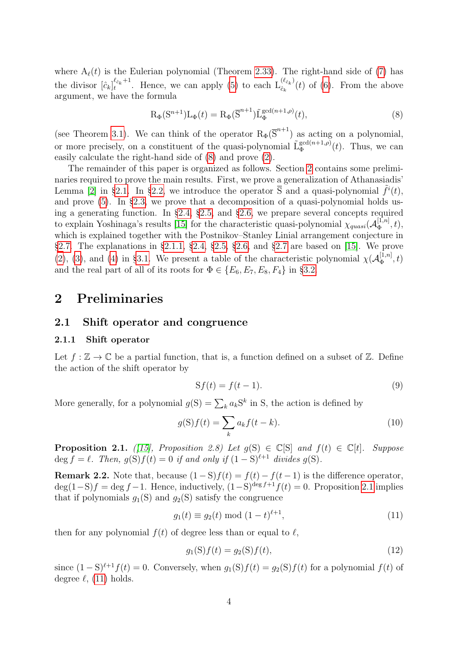where  $A_{\ell}(t)$  is the Eulerian polynomial (Theorem [2.33\)](#page-17-1). The right-hand side of [\(7\)](#page-2-3) has the divisor  $\left[\hat{c}_k\right]_t^{\ell_{\hat{c}_k}+1}$  $\ell_{\hat{c}_k}^{\ell_{\hat{c}_k}+1}$ . Hence, we can apply [\(5\)](#page-2-4) to each  $\mathcal{L}_{\hat{c}_k}^{(\ell_{\hat{c}_k})}$  $(\hat{c}_k^{(c_k)}(t))$  of [\(6\)](#page-2-5). From the above argument, we have the formula

<span id="page-3-3"></span>
$$
R_{\Phi}(S^{n+1})L_{\Phi}(t) = R_{\Phi}(\overline{S}^{n+1})\tilde{L}_{\Phi}^{\gcd(n+1,\rho)}(t),
$$
\n(8)

(see Theorem [3.1\)](#page-19-2). We can think of the operator  $R_{\Phi}(\overline{S}^{n+1})$  as acting on a polynomial, or more precisely, on a constituent of the quasi-polynomial  $\tilde{L}_{\Phi}^{gcd(n+1,\rho)}$  $\int_{\Phi}^{\text{gcd}(n+1,\rho)}(t)$ . Thus, we can easily calculate the right-hand side of [\(8\)](#page-3-3) and prove [\(2\)](#page-1-3).

The remainder of this paper is organized as follows. Section [2](#page-3-0) contains some preliminaries required to prove the main results. First, we prove a generalization of Athanasiadis' Lemma [\[2\]](#page-25-1) in §[2.1.](#page-3-1) In §[2.2,](#page-5-0) we introduce the operator  $\overline{S}$  and a quasi-polynomial  $\tilde{f}^i(t)$ , and prove [\(5\)](#page-2-4). In §[2.3,](#page-11-0) we prove that a decomposition of a quasi-polynomial holds using a generating function. In §[2.4,](#page-13-0) §[2.5,](#page-13-1) and §[2.6,](#page-16-0) we prepare several concepts required to explain Yoshinaga's results [\[15\]](#page-26-0) for the characteristic quasi-polynomial  $\chi_{quasi}(\mathcal{A}_{\Phi}^{[1,n]})$  $\Phi_{\Phi}^{[1,n]},t),$ which is explained together with the Postnikov–Stanley Linial arrangement conjecture in §[2.7.](#page-17-0) The explanations in §[2.1.1,](#page-3-2) §[2.4,](#page-13-0) §[2.5,](#page-13-1) §[2.6,](#page-16-0) and §[2.7](#page-17-0) are based on [\[15\]](#page-26-0). We prove [\(2\)](#page-1-3), [\(3\)](#page-2-1), and [\(4\)](#page-2-2) in §[3.1.](#page-19-1) We present a table of the characteristic polynomial  $\chi(\mathcal{A}_{\Phi}^{[1,n]})$  $\mathcal{L}_\Phi^{[1,n]},t)$ and the real part of all of its roots for  $\Phi \in \{E_6, E_7, E_8, F_4\}$  in §[3.2.](#page-22-0)

### <span id="page-3-0"></span>2 Preliminaries

#### <span id="page-3-1"></span>2.1 Shift operator and congruence

#### <span id="page-3-2"></span>2.1.1 Shift operator

Let  $f : \mathbb{Z} \to \mathbb{C}$  be a partial function, that is, a function defined on a subset of  $\mathbb{Z}$ . Define the action of the shift operator by

$$
Sf(t) = f(t-1). \tag{9}
$$

More generally, for a polynomial  $g(S) = \sum_k a_k S^k$  in S, the action is defined by

$$
g(S)f(t) = \sum_{k} a_k f(t - k).
$$
\n(10)

**Proposition 2.1.** ([\[15\]](#page-26-0), Proposition 2.8) Let  $q(S) \in \mathbb{C}[S]$  and  $f(t) \in \mathbb{C}[t]$ . Suppose deg  $f = \ell$ . Then,  $g(S)f(t) = 0$  if and only if  $(1 - S)^{\ell+1}$  divides  $g(S)$ .

Remark 2.2. Note that, because  $(1 - S)f(t) = f(t) - f(t-1)$  is the difference operator,  $\deg(1-S)f = \deg f - 1$ . Hence, inductively,  $(1-S)^{\deg f+1}f(t) = 0$ . Proposition [2.1](#page-3-1) implies that if polynomials  $g_1(S)$  and  $g_2(S)$  satisfy the congruence

<span id="page-3-4"></span>
$$
g_1(t) \equiv g_2(t) \bmod (1-t)^{\ell+1}, \tag{11}
$$

then for any polynomial  $f(t)$  of degree less than or equal to  $\ell$ ,

$$
g_1(S)f(t) = g_2(S)f(t),
$$
\n(12)

since  $(1 - S)^{\ell+1} f(t) = 0$ . Conversely, when  $g_1(S)f(t) = g_2(S)f(t)$  for a polynomial  $f(t)$  of degree  $\ell$ , [\(11\)](#page-3-4) holds.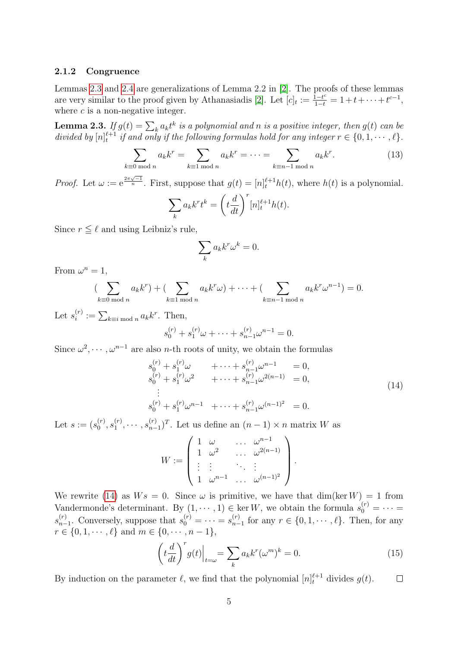#### <span id="page-4-0"></span>2.1.2 Congruence

Lemmas [2.3](#page-4-1) and [2.4](#page-5-1) are generalizations of Lemma 2.2 in [\[2\]](#page-25-1). The proofs of these lemmas are very similar to the proof given by Athanasiadis [\[2\]](#page-25-1). Let  $[c]_t := \frac{1-t^c}{1-t} = 1+t+\cdots+t^{c-1}$ , where  $c$  is a non-negative integer.

<span id="page-4-1"></span>**Lemma 2.3.** If  $g(t) = \sum_k a_k t^k$  is a polynomial and n is a positive integer, then  $g(t)$  can be divided by  $[n]_t^{\ell+1}$  if and only if the following formulas hold for any integer  $r \in \{0, 1, \dots, \ell\}$ .

$$
\sum_{k\equiv 0 \bmod n} a_k k^r = \sum_{k\equiv 1 \bmod n} a_k k^r = \dots = \sum_{k\equiv n-1 \bmod n} a_k k^r.
$$
 (13)

*Proof.* Let  $\omega := e^{\frac{2\pi\sqrt{-1}}{n}}$ . First, suppose that  $g(t) = [n]_t^{\ell+1} h(t)$ , where  $h(t)$  is a polynomial.

$$
\sum_{k} a_{k} k^{r} t^{k} = \left(t \frac{d}{dt}\right)^{r} [n]_{t}^{\ell+1} h(t).
$$

Since  $r \leq \ell$  and using Leibniz's rule,

$$
\sum_{k} a_{k} k^{r} \omega^{k} = 0.
$$

From  $\omega^n = 1$ ,

$$
\left(\sum_{k\equiv 0 \bmod n} a_k k^r\right) + \left(\sum_{k\equiv 1 \bmod n} a_k k^r \omega\right) + \cdots + \left(\sum_{k\equiv n-1 \bmod n} a_k k^r \omega^{n-1}\right) = 0.
$$

Let  $s_i^{(r)}$  $i^{(r)} := \sum_{k \equiv i \bmod n} a_k k^r$ . Then,

$$
s_0^{(r)} + s_1^{(r)}\omega + \dots + s_{n-1}^{(r)}\omega^{n-1} = 0.
$$

Since  $\omega^2, \dots, \omega^{n-1}$  are also *n*-th roots of unity, we obtain the formulas

<span id="page-4-2"></span>
$$
s_0^{(r)} + s_1^{(r)}\omega + \cdots + s_{n-1}^{(r)}\omega^{n-1} = 0,
$$
  
\n
$$
s_0^{(r)} + s_1^{(r)}\omega^2 + \cdots + s_{n-1}^{(r)}\omega^{2(n-1)} = 0,
$$
  
\n
$$
\vdots
$$
  
\n
$$
s_0^{(r)} + s_1^{(r)}\omega^{n-1} + \cdots + s_{n-1}^{(r)}\omega^{(n-1)^2} = 0.
$$
\n(14)

Let  $s := (s_0^{(r)}$  $\mathcal{S}_0^{(r)}$  ,  $\mathcal{S}_1^{(r)}$  $s_1^{(r)}, \cdots, s_{n-1}^{(r)}$  $_{n-1}^{(r)}$ <sup>T</sup>. Let us define an  $(n-1) \times n$  matrix W as

$$
W := \left(\begin{array}{cccc} 1 & \omega & & \ldots & \omega^{n-1} \\ 1 & \omega^2 & & \ldots & \omega^{2(n-1)} \\ \vdots & \vdots & & \ddots & \vdots \\ 1 & \omega^{n-1} & & \ldots & \omega^{(n-1)^2} \end{array}\right).
$$

We rewrite [\(14\)](#page-4-2) as  $Ws = 0$ . Since  $\omega$  is primitive, we have that  $\dim(\ker W) = 1$  from Vandermonde's determinant. By  $(1, \dots, 1) \in \ker W$ , we obtain the formula  $s_0^{(r)} = \dots =$  $s_{n-}^{(r)}$  $s_0^{(r)}$ . Conversely, suppose that  $s_0^{(r)} = \cdots = s_{n-r}^{(r)}$  $_{n-1}^{(r)}$  for any  $r \in \{0, 1, \cdots, \ell\}$ . Then, for any  $r \in \{0, 1, \cdots, \ell\}$  and  $m \in \{0, \cdots, n-1\}$ ,

$$
\left(t\frac{d}{dt}\right)^{r}g(t)\Big|_{t=\omega} = \sum_{k} a_{k}k^{r}(\omega^{m})^{k} = 0.
$$
\n(15)

By induction on the parameter  $\ell$ , we find that the polynomial  $[n]_t^{\ell+1}$  divides  $g(t)$ .  $\Box$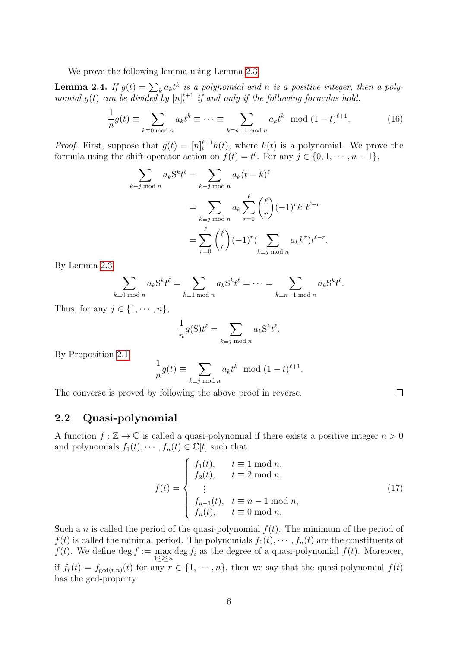We prove the following lemma using Lemma [2.3.](#page-4-1)

<span id="page-5-1"></span>**Lemma 2.4.** If  $g(t) = \sum_k a_k t^k$  is a polynomial and n is a positive integer, then a polynomial  $g(t)$  can be divided by  $[n]_t^{\ell+1}$  if and only if the following formulas hold.

$$
\frac{1}{n}g(t) \equiv \sum_{k \equiv 0 \bmod n} a_k t^k \equiv \dots \equiv \sum_{k \equiv n-1 \bmod n} a_k t^k \mod (1-t)^{\ell+1}.
$$
 (16)

*Proof.* First, suppose that  $g(t) = [n]_t^{\ell+1} h(t)$ , where  $h(t)$  is a polynomial. We prove the formula using the shift operator action on  $f(t) = t^{\ell}$ . For any  $j \in \{0, 1, \dots, n-1\}$ ,

$$
\sum_{k \equiv j \bmod n} a_k \mathbf{S}^k t^{\ell} = \sum_{k \equiv j \bmod n} a_k (t - k)^{\ell}
$$

$$
= \sum_{k \equiv j \bmod n} a_k \sum_{r=0}^{\ell} {\ell \choose r} (-1)^r k^r t^{\ell - r}
$$

$$
= \sum_{r=0}^{\ell} {\ell \choose r} (-1)^r (\sum_{k \equiv j \bmod n} a_k k^r) t^{\ell - r}.
$$

By Lemma [2.3,](#page-4-1)

$$
\sum_{k\equiv 0 \bmod n} a_k \mathbf{S}^k t^{\ell} = \sum_{k\equiv 1 \bmod n} a_k \mathbf{S}^k t^{\ell} = \cdots = \sum_{k\equiv n-1 \bmod n} a_k \mathbf{S}^k t^{\ell}.
$$

Thus, for any  $j \in \{1, \cdots, n\},\$ 

$$
\frac{1}{n}g(S)t^{\ell} = \sum_{k \equiv j \bmod n} a_k S^k t^{\ell}.
$$

By Proposition [2.1,](#page-3-1)

$$
\frac{1}{n}g(t) \equiv \sum_{k \equiv j \bmod n} a_k t^k \mod (1-t)^{\ell+1}.
$$

The converse is proved by following the above proof in reverse.

### <span id="page-5-0"></span>2.2 Quasi-polynomial

A function  $f : \mathbb{Z} \to \mathbb{C}$  is called a quasi-polynomial if there exists a positive integer  $n > 0$ and polynomials  $f_1(t), \dots, f_n(t) \in \mathbb{C}[t]$  such that

$$
f(t) = \begin{cases} f_1(t), & t \equiv 1 \mod n, \\ f_2(t), & t \equiv 2 \mod n, \\ \vdots \\ f_{n-1}(t), & t \equiv n-1 \mod n, \\ f_n(t), & t \equiv 0 \mod n. \end{cases}
$$
(17)

Such a n is called the period of the quasi-polynomial  $f(t)$ . The minimum of the period of  $f(t)$  is called the minimal period. The polynomials  $f_1(t), \dots, f_n(t)$  are the constituents of  $f(t)$ . We define deg  $f := \max_{1 \leq i \leq n} \deg f_i$  as the degree of a quasi-polynomial  $f(t)$ . Moreover, if  $f_r(t) = f_{\gcd(r,n)}(t)$  for any  $r \in \{1, \dots, n\}$ , then we say that the quasi-polynomial  $f(t)$ has the gcd-property.

 $\Box$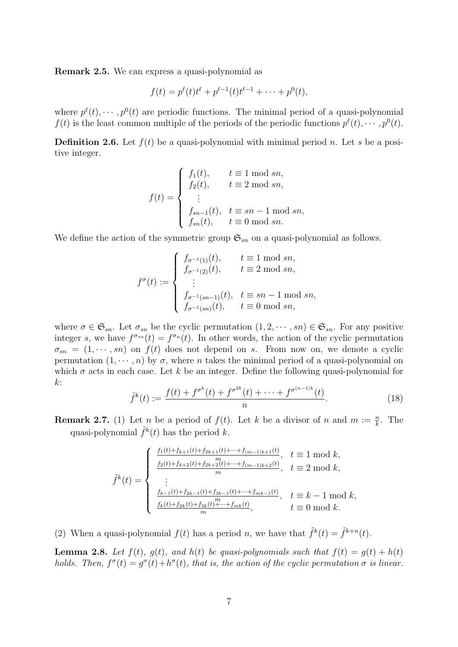Remark 2.5. We can express a quasi-polynomial as

$$
f(t) = p^{\ell}(t)t^{\ell} + p^{\ell-1}(t)t^{\ell-1} + \cdots + p^0(t),
$$

where  $p^{\ell}(t), \dots, p^{0}(t)$  are periodic functions. The minimal period of a quasi-polynomial  $f(t)$  is the least common multiple of the periods of the periodic functions  $p^{\ell}(t), \dots, p^{0}(t)$ .

<span id="page-6-0"></span>**Definition 2.6.** Let  $f(t)$  be a quasi-polynomial with minimal period n. Let s be a positive integer.

$$
f(t) = \begin{cases} f_1(t), & t \equiv 1 \mod sn, \\ f_2(t), & t \equiv 2 \mod sn, \\ \vdots \\ f_{sn-1}(t), & t \equiv sn-1 \mod sn, \\ f_{sn}(t), & t \equiv 0 \mod sn. \end{cases}
$$

We define the action of the symmetric group  $\mathfrak{S}_{sn}$  on a quasi-polynomial as follows.

$$
f^{\sigma}(t) := \begin{cases} f_{\sigma^{-1}(1)}(t), & t \equiv 1 \mod sn, \\ f_{\sigma^{-1}(2)}(t), & t \equiv 2 \mod sn, \\ \vdots \\ f_{\sigma^{-1}(sn-1)}(t), & t \equiv sn-1 \mod sn, \\ f_{\sigma^{-1}(sn)}(t), & t \equiv 0 \mod sn, \end{cases}
$$

where  $\sigma \in \mathfrak{S}_{sn}$ . Let  $\sigma_{sn}$  be the cyclic permutation  $(1, 2, \dots, sn) \in \mathfrak{S}_{sn}$ . For any positive integer s, we have  $f^{\sigma_{sn}}(t) = f^{\sigma_n}(t)$ . In other words, the action of the cyclic permutation  $\sigma_{sn} = (1, \dots, sn)$  on  $f(t)$  does not depend on s. From now on, we denote a cyclic permutation  $(1, \dots, n)$  by  $\sigma$ , where n takes the minimal period of a quasi-polynomial on which  $\sigma$  acts in each case. Let k be an integer. Define the following quasi-polynomial for  $k$ :

$$
\tilde{f}^{k}(t) := \frac{f(t) + f^{\sigma^{k}}(t) + f^{\sigma^{2k}}(t) + \dots + f^{\sigma^{(n-1)k}}(t)}{n}.
$$
\n(18)

**Remark 2.7.** (1) Let *n* be a period of  $f(t)$ . Let *k* be a divisor of *n* and  $m := \frac{n}{k}$ . The quasi-polynomial  $\tilde{f}^k(t)$  has the period k.

$$
\tilde{f}^{k}(t) = \begin{cases}\n\frac{f_{1}(t) + f_{k+1}(t) + f_{2k+1}(t) + \dots + f_{(m-1)k+1}(t)}{m}, & t \equiv 1 \mod k, \\
\frac{f_{2}(t) + f_{k+2}(t) + f_{2k+2}(t) + \dots + f_{(m-1)k+2}(t)}{m}, & t \equiv 2 \mod k, \\
\vdots \\
\frac{f_{k-1}(t) + f_{2k-1}(t) + f_{3k-1}(t) + \dots + f_{mk-1}(t)}{m}, & t \equiv k-1 \mod k, \\
\frac{f_{k}(t) + f_{2k}(t) + f_{3k}(t) + \dots + f_{mk}(t)}{m}, & t \equiv 0 \mod k.\n\end{cases}
$$

<span id="page-6-2"></span>(2) When a quasi-polynomial  $f(t)$  has a period n, we have that  $\tilde{f}^k(t) = \tilde{f}^{k+n}(t)$ .

<span id="page-6-1"></span>**Lemma 2.8.** Let  $f(t)$ ,  $g(t)$ , and  $h(t)$  be quasi-polynomials such that  $f(t) = g(t) + h(t)$ holds. Then,  $f^{\sigma}(t) = g^{\sigma}(t) + h^{\sigma}(t)$ , that is, the action of the cyclic permutation  $\sigma$  is linear.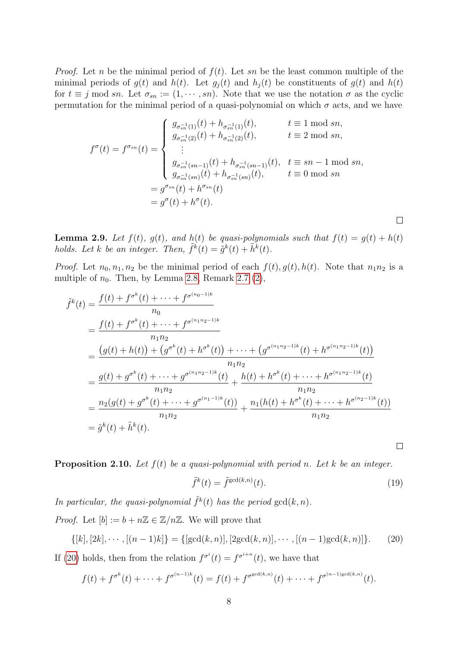*Proof.* Let n be the minimal period of  $f(t)$ . Let sn be the least common multiple of the minimal periods of  $g(t)$  and  $h(t)$ . Let  $g_i(t)$  and  $h_i(t)$  be constituents of  $g(t)$  and  $h(t)$ for  $t \equiv j \mod sn$ . Let  $\sigma_{sn} := (1, \dots, sn)$ . Note that we use the notation  $\sigma$  as the cyclic permutation for the minimal period of a quasi-polynomial on which  $\sigma$  acts, and we have

$$
f^{\sigma}(t) = f^{\sigma_{sn}}(t) = \begin{cases} g_{\sigma_{sn}^{-1}(1)}(t) + h_{\sigma_{sn}^{-1}(1)}(t), & t \equiv 1 \mod sn, \\ g_{\sigma_{sn}^{-1}(2)}(t) + h_{\sigma_{sn}^{-1}(2)}(t), & t \equiv 2 \mod sn, \\ \vdots \\ g_{\sigma_{sn}^{-1}(sn-1)}(t) + h_{\sigma_{sn}^{-1}(sn-1)}(t), & t \equiv sn-1 \mod sn, \\ g_{\sigma_{sn}^{-1}(sn)}(t) + h_{\sigma_{sn}^{-1}(sn)}(t), & t \equiv 0 \mod sn \\ = g^{\sigma_{sn}}(t) + h^{\sigma_{sn}}(t) \\ = g^{\sigma}(t) + h^{\sigma}(t). \end{cases}
$$

<span id="page-7-2"></span>**Lemma 2.9.** Let  $f(t)$ ,  $g(t)$ , and  $h(t)$  be quasi-polynomials such that  $f(t) = g(t) + h(t)$ holds. Let k be an integer. Then,  $\tilde{f}^k(t) = \tilde{g}^k(t) + \tilde{h}^k(t)$ .

*Proof.* Let  $n_0, n_1, n_2$  be the minimal period of each  $f(t), g(t), h(t)$ . Note that  $n_1n_2$  is a multiple of  $n_0$ . Then, by Lemma [2.8,](#page-6-1) Remark [2.7](#page-0-0) [\(2\)](#page-6-2),

$$
\tilde{f}^{k}(t) = \frac{f(t) + f^{\sigma^{k}}(t) + \dots + f^{\sigma^{(n_{0}-1)k}}}{n_{0}}
$$
\n
$$
= \frac{f(t) + f^{\sigma^{k}}(t) + \dots + f^{\sigma^{(n_{1}n_{2}-1)k}}}{n_{1}n_{2}}
$$
\n
$$
= \frac{(g(t) + h(t)) + (g^{\sigma^{k}}(t) + h^{\sigma^{k}}(t)) + \dots + (g^{\sigma^{(n_{1}n_{2}-1)k}}(t) + h^{\sigma^{(n_{1}n_{2}-1)k}}(t))}{n_{1}n_{2}}
$$
\n
$$
= \frac{g(t) + g^{\sigma^{k}}(t) + \dots + g^{\sigma^{(n_{1}n_{2}-1)k}}(t)}{n_{1}n_{2}} + \frac{h(t) + h^{\sigma^{k}}(t) + \dots + h^{\sigma^{(n_{1}n_{2}-1)k}}(t)}{n_{1}n_{2}}
$$
\n
$$
= \frac{n_{2}(g(t) + g^{\sigma^{k}}(t) + \dots + g^{\sigma^{(n_{1}-1)k}}(t))}{n_{1}n_{2}} + \frac{n_{1}(h(t) + h^{\sigma^{k}}(t) + \dots + h^{\sigma^{(n_{2}-1)k}}(t))}{n_{1}n_{2}}
$$
\n
$$
= \tilde{g}^{k}(t) + \tilde{h}^{k}(t).
$$

<span id="page-7-1"></span>**Proposition 2.10.** Let  $f(t)$  be a quasi-polynomial with period n. Let k be an integer.

$$
\tilde{f}^k(t) = \tilde{f}^{\gcd(k,n)}(t). \tag{19}
$$

 $\Box$ 

 $\Box$ 

In particular, the quasi-polynomial  $\tilde{f}^k(t)$  has the period  $gcd(k, n)$ . *Proof.* Let  $[b] := b + n\mathbb{Z} \in \mathbb{Z}/n\mathbb{Z}$ . We will prove that

<span id="page-7-0"></span>
$$
\{[k], [2k], \cdots, [(n-1)k]\} = \{[\gcd(k, n)], [2\gcd(k, n)], \cdots, [(n-1)\gcd(k, n)]\}.
$$
 (20)

If [\(20\)](#page-7-0) holds, then from the relation  $f^{\sigma^i}(t) = f^{\sigma^{i+n}}(t)$ , we have that

$$
f(t) + f^{\sigma^{k}}(t) + \cdots + f^{\sigma^{(n-1)k}}(t) = f(t) + f^{\sigma^{\gcd(k,n)}}(t) + \cdots + f^{\sigma^{(n-1)\gcd(k,n)}}(t).
$$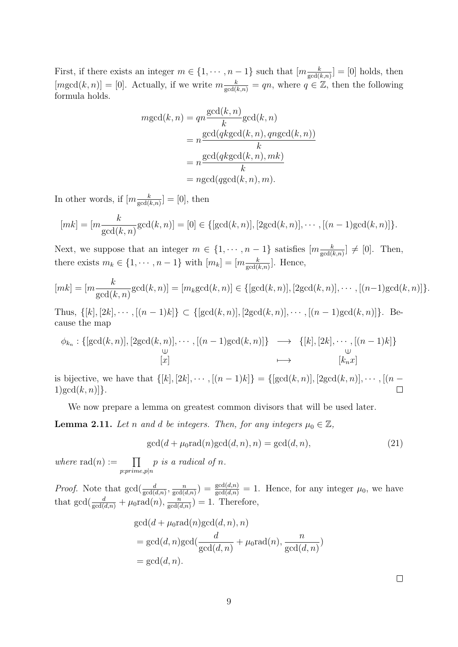First, if there exists an integer  $m \in \{1, \dots, n-1\}$  such that  $[m_{\frac{k}{gcd(k,n)}}] = [0]$  holds, then  $[mgcd(k, n)] = [0]$ . Actually, if we write  $m \frac{k}{gcd(k,n)} = qn$ , where  $q \in \mathbb{Z}$ , then the following formula holds.

$$
mgcd(k, n) = qn \frac{\gcd(k, n)}{k} \gcd(k, n)
$$

$$
= n \frac{\gcd(qk \gcd(k, n), qn \gcd(k, n))}{k}
$$

$$
= n \frac{\gcd(qk \gcd(k, n), mk)}{k}
$$

$$
= n \gcd(qgcd(k, n), m).
$$

In other words, if  $[m_{\frac{k}{\gcd(k,n)}}] = [0]$ , then

$$
[mk] = [m \frac{k}{\gcd(k,n)} \gcd(k,n)] = [0] \in \{ [\gcd(k,n)], [2 \gcd(k,n)], \cdots, [(n-1) \gcd(k,n)] \}.
$$

Next, we suppose that an integer  $m \in \{1, \dots, n-1\}$  satisfies  $[m \frac{k}{\gcd(k,n)}] \neq [0]$ . Then, there exists  $m_k \in \{1, \dots, n-1\}$  with  $[m_k] = [m \frac{k}{\gcd(k,n)}].$  Hence,

$$
[mk] = [m \frac{k}{\gcd(k,n)} \gcd(k,n)] = [m_k \gcd(k,n)] \in \{ [\gcd(k,n)], [2 \gcd(k,n)], \cdots, [(n-1) \gcd(k,n)] \}.
$$

Thus,  $\{[k], [2k], \cdots, [(n-1)k]\} \subset \{[\gcd(k, n)], [2\gcd(k, n)], \cdots, [(n-1)\gcd(k, n)]\}.$  Because the map

$$
\phi_{k_n}: \{[\gcd(k,n)], [2\gcd(k,n)], \cdots, [(n-1)\gcd(k,n)]\} \longrightarrow \{[k], [2k], \cdots, [(n-1)k]\} \cup \qquad \qquad \downarrow \qquad \qquad \downarrow
$$
  
[x]

is bijective, we have that  $\{[k], [2k], \cdots, [(n-1)k]\} = \{[\gcd(k, n)], [2\gcd(k, n)], \cdots, [(n-1)k]\}$ 1)gcd $(k, n)$ ].  $\Box$ 

We now prepare a lemma on greatest common divisors that will be used later.

<span id="page-8-0"></span>**Lemma 2.11.** Let n and d be integers. Then, for any integers  $\mu_0 \in \mathbb{Z}$ ,

$$
\gcd(d + \mu_0 \text{rad}(n) \gcd(d, n), n) = \gcd(d, n), \tag{21}
$$

where  $rad(n) := \prod$  $p:prime,p|n$ p is a radical of n.

*Proof.* Note that  $gcd(\frac{d}{gcd(d,n)}, \frac{n}{gcd(d,n)})$  $\frac{n}{\gcd(d,n)} = \frac{\gcd(d,n)}{\gcd(d,n)} = 1$ . Hence, for any integer  $\mu_0$ , we have that  $gcd(\frac{d}{gcd(d,n)} + \mu_0 rad(n), \frac{n}{gcd(d,n)})$  $\frac{n}{\gcd(d,n)}$ ) = 1. Therefore,

$$
gcd(d + \mu_0 rad(n) gcd(d, n), n)
$$
  
= gcd(d, n) gcd( $\frac{d}{gcd(d, n)} + \mu_0 rad(n), \frac{n}{gcd(d, n)})$   
= gcd(d, n).

 $\Box$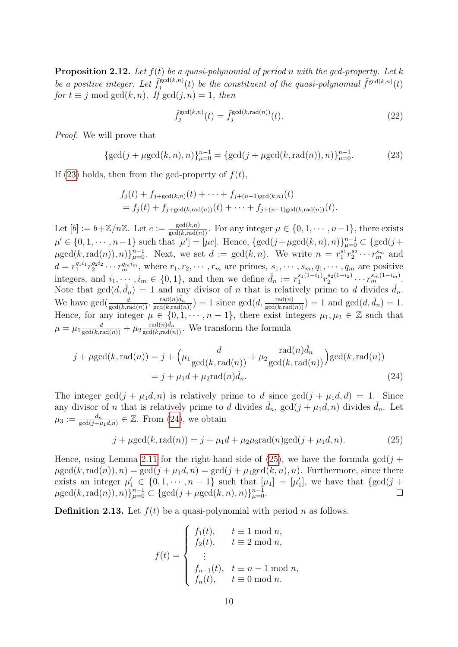<span id="page-9-4"></span>**Proposition 2.12.** Let  $f(t)$  be a quasi-polynomial of period n with the gcd-property. Let k be a positive integer. Let  $\tilde{f}_i^{\gcd(k,n)}$  $\tilde{f}_j^{\gcd(k,n)}(t)$  be the constituent of the quasi-polynomial  $\tilde{f}^{\gcd(k,n)}(t)$ for  $t \equiv j \mod \gcd(k, n)$ . If  $\gcd(j, n) = 1$ , then

$$
\tilde{f}_j^{\gcd(k,n)}(t) = \tilde{f}_j^{\gcd(k, \text{rad}(n))}(t). \tag{22}
$$

Proof. We will prove that

<span id="page-9-1"></span>
$$
\{\gcd(j+\mu \gcd(k,n),n)\}_{\mu=0}^{n-1} = \{\gcd(j+\mu \gcd(k,\mathrm{rad}(n)),n)\}_{\mu=0}^{n-1}.
$$
 (23)

If [\(23\)](#page-9-1) holds, then from the gcd-property of  $f(t)$ ,

$$
f_j(t) + f_{j + \gcd(k,n)}(t) + \cdots + f_{j + (n-1)\gcd(k,n)}(t)
$$
  
=  $f_j(t) + f_{j + \gcd(k, \text{rad}(n))}(t) + \cdots + f_{j + (n-1)\gcd(k, \text{rad}(n))}(t).$ 

Let  $[b] := b + \mathbb{Z}/n\mathbb{Z}$ . Let  $c := \frac{\gcd(k,n)}{\gcd(k,\text{rad}(n))}$ . For any integer  $\mu \in \{0, 1, \cdots, n-1\}$ , there exists  $\mu' \in \{0, 1, \dots, n-1\}$  such that  $[\mu'] = [\mu c]$ . Hence,  $\{\gcd(j + \mu \gcd(k, n), n)\}_{\mu=0}^{n-1} \subset \{\gcd(j + \mu) \}$  $\mu \gcd(k, \mathrm{rad}(n)), n) \}_{\mu=0}^{n-1}$ . Next, we set  $d := \gcd(k, n)$ . We write  $n = r_1^{s_1} r_2^{s_2} \cdots r_m^{s_m}$  and  $d = r_1^{q_1 i_1} r_2^{q_2 i_2} \cdots r_m^{q_m i_m}$ , where  $r_1, r_2, \cdots, r_m$  are primes,  $s_1, \cdots, s_m, q_1, \cdots, q_m$  are positive integers, and  $i_1, \dots, i_m \in \{0, 1\}$ , and then we define  $\check{d}_n := r_1^{s_1(1-i_1)}$  $r_1^{s_1(1-i_1)}r_2^{s_2(1-i_2)}$  $x_2^{s_2(1-i_2)} \cdots x_m^{s_m(1-i_m)}.$ Note that  $gcd(d, d_n) = 1$  and any divisor of n that is relatively prime to d divides  $\tilde{d}_n$ . We have  $\gcd(\frac{d}{\gcd(k,\text{rad}(n))},\frac{\text{rad}(n)d_n}{\gcd(k,\text{rad}(n))})=1$  since  $\gcd(d,\frac{\text{rad}(n)}{\gcd(k,\text{rad}(n))})=1$  and  $\gcd(d,\tilde{d}_n)=1$ . Hence, for any integer  $\mu \in \{0, 1, \dots, n-1\}$ , there exist integers  $\mu_1, \mu_2 \in \mathbb{Z}$  such that  $\mu = \mu_1 \frac{d}{\gcd(k, \text{rad}(n))} + \mu_2 \frac{\text{rad}(n)\tilde{d}_n}{\gcd(k, \text{rad}(n))}$ . We transform the formula

$$
j + \mu \gcd(k, \operatorname{rad}(n)) = j + \left(\mu_1 \frac{d}{\gcd(k, \operatorname{rad}(n))} + \mu_2 \frac{\operatorname{rad}(n)\check{d}_n}{\gcd(k, \operatorname{rad}(n))}\right) \gcd(k, \operatorname{rad}(n))
$$

$$
= j + \mu_1 d + \mu_2 \operatorname{rad}(n)\check{d}_n.
$$
(24)

The integer gcd $(j + \mu_1 d, n)$  is relatively prime to d since gcd $(j + \mu_1 d, d) = 1$ . Since any divisor of n that is relatively prime to d divides  $\tilde{d}_n$ ,  $gcd(j + \mu_1 d, n)$  divides  $\tilde{d}_n$ . Let  $\mu_3 := \frac{\tilde{d}_n}{\gcd(j+\mu_1 d,n)} \in \mathbb{Z}$ . From [\(24\)](#page-9-2), we obtain

<span id="page-9-3"></span><span id="page-9-2"></span>
$$
j + \mu \gcd(k, \text{rad}(n)) = j + \mu_1 d + \mu_2 \mu_3 \text{rad}(n) \gcd(j + \mu_1 d, n). \tag{25}
$$

Hence, using Lemma [2.11](#page-8-0) for the right-hand side of [\(25\)](#page-9-3), we have the formula gcd( $j +$  $\mu \gcd(k, \text{rad}(n)), n) = \gcd(j + \mu_1 d, n) = \gcd(j + \mu_1 \gcd(k, n), n)$ . Furthermore, since there exists an integer  $\mu'_1 \in \{0, 1, \dots, n-1\}$  such that  $[\mu_1] = [\mu'_1]$ , we have that  $\{\gcd(j + 1)\}$  $\mu \gcd(k, \text{rad}(n)), n) \}_{\mu=0}^{n-1} \subset \{ \gcd(j + \mu \gcd(k, n), n) \}_{\mu=0}^{n-1}.$  $\Box$ 

<span id="page-9-0"></span>**Definition 2.13.** Let  $f(t)$  be a quasi-polynomial with period n as follows.

$$
f(t) = \begin{cases} f_1(t), & t \equiv 1 \mod n, \\ f_2(t), & t \equiv 2 \mod n, \\ \vdots \\ f_{n-1}(t), & t \equiv n-1 \mod n, \\ f_n(t), & t \equiv 0 \mod n. \end{cases}
$$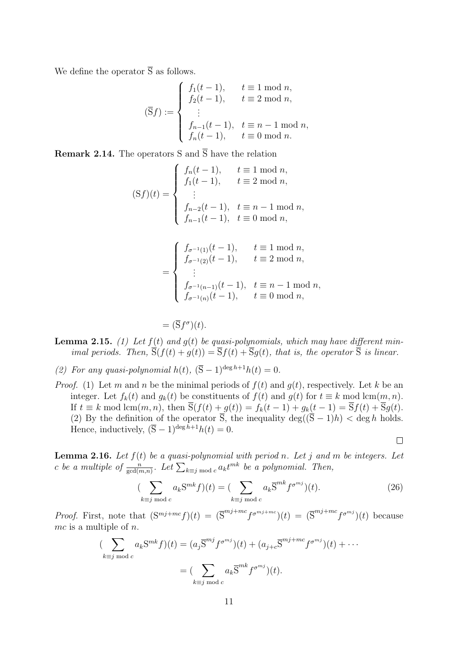We define the operator  $\overline{S}$  as follows.

$$
(\overline{S}f) := \begin{cases} f_1(t-1), & t \equiv 1 \bmod n, \\ f_2(t-1), & t \equiv 2 \bmod n, \\ \vdots \\ f_{n-1}(t-1), & t \equiv n-1 \bmod n, \\ f_n(t-1), & t \equiv 0 \bmod n. \end{cases}
$$

**Remark 2.14.** The operators S and  $\overline{S}$  have the relation

$$
(Sf)(t) = \begin{cases} f_n(t-1), & t \equiv 1 \text{ mod } n, \\ f_1(t-1), & t \equiv 2 \text{ mod } n, \\ \vdots \\ f_{n-2}(t-1), & t \equiv n-1 \text{ mod } n, \\ f_{n-1}(t-1), & t \equiv 0 \text{ mod } n, \end{cases}
$$

$$
= \begin{cases} f_{\sigma^{-1}(1)}(t-1), & t \equiv 1 \mod n, \\ f_{\sigma^{-1}(2)}(t-1), & t \equiv 2 \mod n, \\ \vdots \\ f_{\sigma^{-1}(n-1)}(t-1), & t \equiv n-1 \mod n, \\ f_{\sigma^{-1}(n)}(t-1), & t \equiv 0 \mod n, \end{cases}
$$

 $= (\overline{S}f^{\sigma})(t).$ 

- **Lemma 2.15.** (1) Let  $f(t)$  and  $g(t)$  be quasi-polynomials, which may have different minimal periods. Then,  $\overline{S}(f(t) + g(t)) = \overline{S}f(t) + \overline{S}g(t)$ , that is, the operator  $\overline{S}$  is linear.
- (2) For any quasi-polynomial h(t),  $(\overline{S} 1)^{\deg h + 1}h(t) = 0$ .
- *Proof.* (1) Let m and n be the minimal periods of  $f(t)$  and  $g(t)$ , respectively. Let k be an integer. Let  $f_k(t)$  and  $g_k(t)$  be constituents of  $f(t)$  and  $g(t)$  for  $t \equiv k \mod \text{lcm}(m, n)$ . If  $t \equiv k \mod \text{lcm}(m, n)$ , then  $\overline{S}(f(t) + g(t)) = f_k(t-1) + g_k(t-1) = \overline{S}f(t) + \overline{S}g(t)$ . (2) By the definition of the operator  $\overline{S}$ , the inequality deg( $(\overline{S} - 1)h$ ) < deg h holds. Hence, inductively,  $(\overline{S} - 1)^{\deg h + 1} h(t) = 0$ .

$$
\Box
$$

<span id="page-10-0"></span>**Lemma 2.16.** Let  $f(t)$  be a quasi-polynomial with period n. Let j and m be integers. Let c be a multiple of  $\frac{n}{\gcd(m,n)}$ . Let  $\sum_{k\equiv j \bmod c} a_k t^{mk}$  be a polynomial. Then,

$$
\left(\sum_{k\equiv j \bmod c} a_k \mathbf{S}^{mk} f\right)(t) = \left(\sum_{k\equiv j \bmod c} a_k \overline{\mathbf{S}}^{mk} f^{\sigma^{mj}}\right)(t). \tag{26}
$$

*Proof.* First, note that  $(S^{mj+mc}f)(t) = (\overline{S}^{mj+mc}f^{\sigma^{mj+mc}})(t) = (\overline{S}^{mj+mc}f^{\sigma^{mj}})(t)$  because  $mc$  is a multiple of  $n$ .

$$
\sum_{k \equiv j \bmod c} a_k \mathbf{S}^{mk} f(t) = (a_j \overline{\mathbf{S}}^{mj} f^{\sigma^{mj}})(t) + (a_{j+c} \overline{\mathbf{S}}^{mj+mc} f^{\sigma^{mj}})(t) + \cdots
$$

$$
= (\sum_{k \equiv j \bmod c} a_k \overline{\mathbf{S}}^{mk} f^{\sigma^{mj}})(t).
$$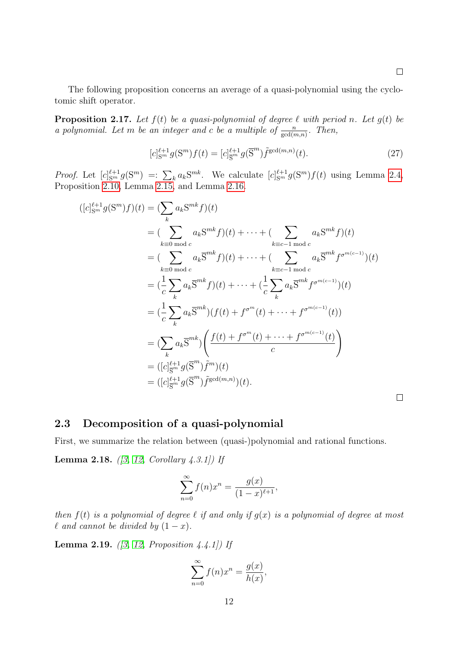The following proposition concerns an average of a quasi-polynomial using the cyclotomic shift operator.

<span id="page-11-1"></span>**Proposition 2.17.** Let  $f(t)$  be a quasi-polynomial of degree  $\ell$  with period n. Let  $g(t)$  be a polynomial. Let m be an integer and c be a multiple of  $\frac{n}{\gcd(m,n)}$ . Then,

$$
[c]_{\mathcal{S}^m}^{\ell+1} g(\mathcal{S}^m) f(t) = [c]_{\mathcal{S}^m}^{\ell+1} g(\overline{\mathcal{S}}^m) \tilde{f}^{\gcd(m,n)}(t). \tag{27}
$$

*Proof.* Let  $[c]_{S^m}^{\ell+1} g(S^m) =: \sum_k a_k S^{mk}$ . We calculate  $[c]_{S^m}^{\ell+1} g(S^m) f(t)$  using Lemma [2.4,](#page-5-1) Proposition [2.10,](#page-7-1) Lemma [2.15,](#page-0-0) and Lemma [2.16.](#page-10-0)

$$
([c]_{S^{m}}^{\ell+1} g(S^{m}) f)(t) = (\sum_{k} a_{k} S^{mk} f)(t)
$$
  
\n
$$
= (\sum_{k \equiv 0 \bmod c} a_{k} S^{mk} f)(t) + \cdots + (\sum_{k \equiv c-1 \bmod c} a_{k} S^{mk} f)(t)
$$
  
\n
$$
= (\sum_{k \equiv 0 \bmod c} a_{k} \overline{S}^{mk} f)(t) + \cdots + (\sum_{k \equiv c-1 \bmod c} a_{k} \overline{S}^{mk} f^{\sigma^{m(c-1)}})(t)
$$
  
\n
$$
= (\frac{1}{c} \sum_{k} a_{k} \overline{S}^{mk} f)(t) + \cdots + (\frac{1}{c} \sum_{k} a_{k} \overline{S}^{mk} f^{\sigma^{m(c-1)}})(t)
$$
  
\n
$$
= (\frac{1}{c} \sum_{k} a_{k} \overline{S}^{mk})(f(t) + f^{\sigma^{m}}(t) + \cdots + f^{\sigma^{m(c-1)}}(t))
$$
  
\n
$$
= (\sum_{k} a_{k} \overline{S}^{mk}) \left( \frac{f(t) + f^{\sigma^{m}}(t) + \cdots + f^{\sigma^{m(c-1)}}(t)}{c} \right)
$$
  
\n
$$
= ([c]_{\overline{S}^{m}}^{\ell+1} g(\overline{S}^{m}) \tilde{f}^{m})(t)
$$
  
\n
$$
= ([c]_{\overline{S}^{m}}^{\ell+1} g(\overline{S}^{m}) \tilde{f}^{gcd(m,n)})(t).
$$

#### <span id="page-11-0"></span>2.3 Decomposition of a quasi-polynomial

First, we summarize the relation between (quasi-)polynomial and rational functions.

**Lemma 2.18.** ([\[3,](#page-25-4) [12,](#page-26-1) Corollary 4.3.1]) If

$$
\sum_{n=0}^{\infty} f(n)x^n = \frac{g(x)}{(1-x)^{\ell+1}},
$$

then  $f(t)$  is a polynomial of degree  $\ell$  if and only if  $g(x)$  is a polynomial of degree at most  $\ell$  and cannot be divided by  $(1 - x)$ .

<span id="page-11-2"></span>**Lemma 2.19.** ([\[3,](#page-25-4) [12,](#page-26-1) Proposition 4.4.1]) If

$$
\sum_{n=0}^{\infty} f(n)x^n = \frac{g(x)}{h(x)},
$$

 $\Box$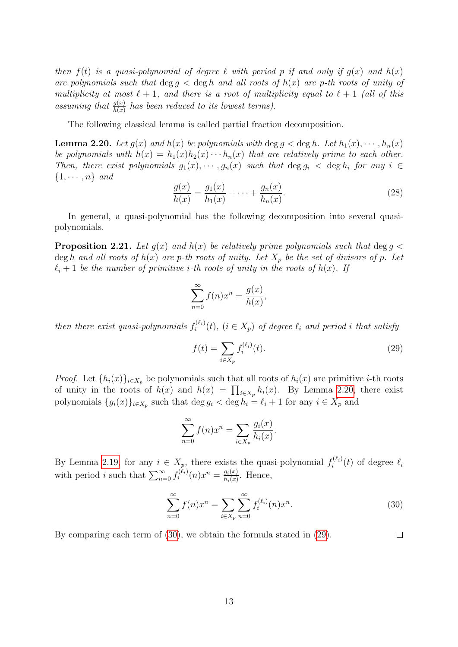then  $f(t)$  is a quasi-polynomial of degree  $\ell$  with period p if and only if  $q(x)$  and  $h(x)$ are polynomials such that  $\deg g < \deg h$  and all roots of  $h(x)$  are p-th roots of unity of multiplicity at most  $\ell + 1$ , and there is a root of multiplicity equal to  $\ell + 1$  (all of this assuming that  $\frac{g(x)}{h(x)}$  has been reduced to its lowest terms).

The following classical lemma is called partial fraction decomposition.

<span id="page-12-0"></span>**Lemma 2.20.** Let  $g(x)$  and  $h(x)$  be polynomials with deg  $g < \deg h$ . Let  $h_1(x), \dots, h_n(x)$ be polynomials with  $h(x) = h_1(x)h_2(x) \cdots h_n(x)$  that are relatively prime to each other. Then, there exist polynomials  $g_1(x), \dots, g_n(x)$  such that  $\deg g_i < \deg h_i$  for any  $i \in$  $\{1, \cdots, n\}$  and

$$
\frac{g(x)}{h(x)} = \frac{g_1(x)}{h_1(x)} + \dots + \frac{g_n(x)}{h_n(x)}.
$$
\n(28)

In general, a quasi-polynomial has the following decomposition into several quasipolynomials.

<span id="page-12-3"></span>**Proposition 2.21.** Let  $g(x)$  and  $h(x)$  be relatively prime polynomials such that deg  $g <$ deg h and all roots of  $h(x)$  are p-th roots of unity. Let  $X_p$  be the set of divisors of p. Let  $\ell_i + 1$  be the number of primitive *i*-th roots of unity in the roots of  $h(x)$ . If

$$
\sum_{n=0}^{\infty} f(n)x^n = \frac{g(x)}{h(x)},
$$

then there exist quasi-polynomials  $f_i^{(\ell_i)}$  $i^{(k_i)}(t)$ ,  $(i \in X_p)$  of degree  $\ell_i$  and period i that satisfy

<span id="page-12-2"></span>
$$
f(t) = \sum_{i \in X_p} f_i^{(\ell_i)}(t).
$$
 (29)

*Proof.* Let  $\{h_i(x)\}_{i\in X_p}$  be polynomials such that all roots of  $h_i(x)$  are primitive *i*-th roots of unity in the roots of  $h(x)$  and  $h(x) = \prod_{i \in X_p} h_i(x)$ . By Lemma [2.20,](#page-12-0) there exist polynomials  $\{g_i(x)\}_{i\in X_p}$  such that  $\deg g_i < \deg h_i = \ell_i + 1$  for any  $i \in X_p$  and

$$
\sum_{n=0}^{\infty} f(n)x^n = \sum_{i \in X_p} \frac{g_i(x)}{h_i(x)}.
$$

By Lemma [2.19,](#page-11-2) for any  $i \in X_p$ , there exists the quasi-polynomial  $f_i^{(\ell_i)}$  $\ell_i^{(\ell_i)}(t)$  of degree  $\ell_i$ with period *i* such that  $\sum_{n=0}^{\infty} f_i^{(\ell_i)}$  $\hat{y}_i^{(\ell_i)}(n)x^n = \frac{g_i(x)}{h_i(x)}$  $\frac{g_i(x)}{h_i(x)}$ . Hence,

<span id="page-12-1"></span>
$$
\sum_{n=0}^{\infty} f(n)x^n = \sum_{i \in X_p} \sum_{n=0}^{\infty} f_i^{(\ell_i)}(n)x^n.
$$
 (30)

By comparing each term of [\(30\)](#page-12-1), we obtain the formula stated in [\(29\)](#page-12-2).  $\Box$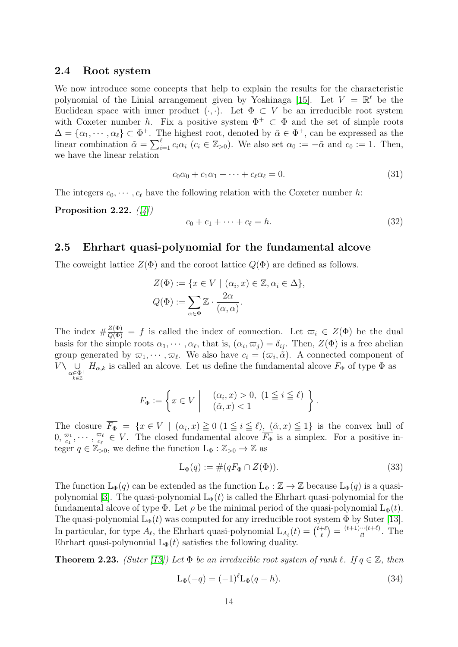#### <span id="page-13-0"></span>2.4 Root system

We now introduce some concepts that help to explain the results for the characteristic polynomial of the Linial arrangement given by Yoshinaga [\[15\]](#page-26-0). Let  $V = \mathbb{R}^{\ell}$  be the Euclidean space with inner product  $(\cdot, \cdot)$ . Let  $\Phi \subset V$  be an irreducible root system with Coxeter number h. Fix a positive system  $\Phi^+ \subset \Phi$  and the set of simple roots  $\Delta = {\alpha_1, \cdots, \alpha_\ell} \subset \Phi^+$ . The highest root, denoted by  $\tilde{\alpha} \in \Phi^+$ , can be expressed as the linear combination  $\tilde{\alpha} = \sum_{i=1}^{\ell} c_i \alpha_i$  ( $c_i \in \mathbb{Z}_{>0}$ ). We also set  $\alpha_0 := -\tilde{\alpha}$  and  $c_0 := 1$ . Then, we have the linear relation

$$
c_0\alpha_0 + c_1\alpha_1 + \dots + c_\ell\alpha_\ell = 0. \tag{31}
$$

The integers  $c_0, \dots, c_\ell$  have the following relation with the Coxeter number h:

<span id="page-13-2"></span>Proposition 2.22.  $(|4|)$ 

$$
c_0 + c_1 + \dots + c_\ell = h. \tag{32}
$$

### <span id="page-13-1"></span>2.5 Ehrhart quasi-polynomial for the fundamental alcove

The coweight lattice  $Z(\Phi)$  and the coroot lattice  $Q(\Phi)$  are defined as follows.

$$
Z(\Phi) := \{ x \in V \mid (\alpha_i, x) \in \mathbb{Z}, \alpha_i \in \Delta \},
$$
  

$$
Q(\Phi) := \sum_{\alpha \in \Phi} \mathbb{Z} \cdot \frac{2\alpha}{(\alpha, \alpha)}.
$$

The index  $\#\frac{Z(\Phi)}{Q(\Phi)} = f$  is called the index of connection. Let  $\varpi_i \in Z(\Phi)$  be the dual basis for the simple roots  $\alpha_1, \dots, \alpha_\ell$ , that is,  $(\alpha_i, \varpi_j) = \delta_{ij}$ . Then,  $Z(\Phi)$  is a free abelian group generated by  $\varpi_1, \cdots, \varpi_\ell$ . We also have  $c_i = (\varpi_i, \tilde{\alpha})$ . A connected component of  $V\backslash \underset{\alpha\in \Phi^+}{\cup}$  $H_{\alpha,k}$  is called an alcove. Let us define the fundamental alcove  $F_{\Phi}$  of type  $\Phi$  as

$$
F_{\Phi} := \left\{ x \in V \middle| \begin{array}{c} (\alpha_i, x) > 0, \ (1 \leq i \leq \ell) \\ (\tilde{\alpha}, x) < 1 \end{array} \right\}.
$$

The closure  $\overline{F_{\Phi}} = \{x \in V \mid (\alpha_i, x) \geq 0 \ (1 \leq i \leq \ell), \ (\tilde{\alpha}, x) \leq 1\}$  is the convex hull of  $0, \frac{\varpi_1}{c_1}$  $\frac{\overline{\omega}_1}{c_1},\cdots,\frac{\overline{\omega}_\ell}{c_\ell}$  $\frac{\overline{\omega}_{\ell}}{c_{\ell}} \in V$ . The closed fundamental alcove  $\overline{F_{\Phi}}$  is a simplex. For a positive integer  $q \in \mathbb{Z}_{>0}$ , we define the function  $L_{\Phi}: \mathbb{Z}_{>0} \to \mathbb{Z}$  as

$$
L_{\Phi}(q) := \#(qF_{\Phi} \cap Z(\Phi)).\tag{33}
$$

The function  $L_{\Phi}(q)$  can be extended as the function  $L_{\Phi}: \mathbb{Z} \to \mathbb{Z}$  because  $L_{\Phi}(q)$  is a quasi-polynomial [\[3\]](#page-25-4). The quasi-polynomial  $L_{\Phi}(t)$  is called the Ehrhart quasi-polynomial for the fundamental alcove of type  $\Phi$ . Let  $\rho$  be the minimal period of the quasi-polynomial  $L_{\Phi}(t)$ . The quasi-polynomial  $L_{\Phi}(t)$  was computed for any irreducible root system  $\Phi$  by Suter [\[13\]](#page-26-2). In particular, for type  $A_\ell$ , the Ehrhart quasi-polynomial  $L_{A_\ell}(t) = \binom{t+\ell}{\ell}$  $\binom{+\ell}{\ell} = \frac{(t+1)\cdots(t+\ell)}{\ell!}$  $\frac{m(t+\ell)}{\ell!}$ . The Ehrhart quasi-polynomial  $L_{\Phi}(t)$  satisfies the following duality.

**Theorem 2.23.** (Suter [\[13\]](#page-26-2)) Let  $\Phi$  be an irreducible root system of rank  $\ell$ . If  $q \in \mathbb{Z}$ , then

$$
L_{\Phi}(-q) = (-1)^{\ell} L_{\Phi}(q - h). \tag{34}
$$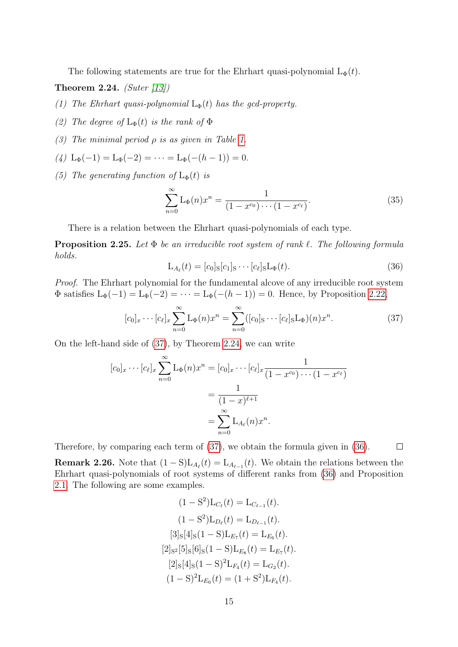The following statements are true for the Ehrhart quasi-polynomial  $L_{\Phi}(t)$ .

<span id="page-14-1"></span>Theorem 2.24. (Suter  $\langle 13 \rangle$ )

- (1) The Ehrhart quasi-polynomial  $L_{\Phi}(t)$  has the gcd-property.
- (2) The degree of  $L_{\Phi}(t)$  is the rank of  $\Phi$
- (3) The minimal period  $\rho$  is as given in Table [1.](#page-15-1)
- $(4)$  L<sub>Φ</sub> $(-1) =$ L<sub>Φ</sub> $(-2) = \cdots =$ L<sub>Φ</sub> $(-(h-1)) = 0$ .
- (5) The generating function of  $L_{\Phi}(t)$  is

$$
\sum_{n=0}^{\infty} \mathcal{L}_{\Phi}(n) x^n = \frac{1}{(1 - x^{c_0}) \cdots (1 - x^{c_{\ell}})}.
$$
\n(35)

There is a relation between the Ehrhart quasi-polynomials of each type.

<span id="page-14-3"></span>**Proposition 2.25.** Let  $\Phi$  be an irreducible root system of rank  $\ell$ . The following formula holds.

<span id="page-14-2"></span>
$$
\mathcal{L}_{A_{\ell}}(t) = [c_0]_{\mathcal{S}}[c_1]_{\mathcal{S}} \cdots [c_{\ell}]_{\mathcal{S}} \mathcal{L}_{\Phi}(t). \tag{36}
$$

Proof. The Ehrhart polynomial for the fundamental alcove of any irreducible root system  $\Phi$  satisfies  $L_{\Phi}(-1) = L_{\Phi}(-2) = \cdots = L_{\Phi}(-(h-1)) = 0$ . Hence, by Proposition [2.22,](#page-13-2)

<span id="page-14-0"></span>
$$
[c_0]_x \cdots [c_\ell]_x \sum_{n=0}^{\infty} \mathcal{L}_{\Phi}(n) x^n = \sum_{n=0}^{\infty} ([c_0]_S \cdots [c_\ell]_S \mathcal{L}_{\Phi})(n) x^n.
$$
 (37)

On the left-hand side of [\(37\)](#page-14-0), by Theorem [2.24,](#page-14-1) we can write

$$
[c_0]_x \cdots [c_\ell]_x \sum_{n=0}^{\infty} \mathcal{L}_{\Phi}(n) x^n = [c_0]_x \cdots [c_\ell]_x \frac{1}{(1 - x^{c_0}) \cdots (1 - x^{c_\ell})}
$$
  
= 
$$
\frac{1}{(1 - x)^{\ell+1}}
$$
  
= 
$$
\sum_{n=0}^{\infty} \mathcal{L}_{A_\ell}(n) x^n.
$$

Therefore, by comparing each term of [\(37\)](#page-14-0), we obtain the formula given in [\(36\)](#page-14-2).  $\Box$ 

**Remark 2.26.** Note that  $(1 - S)L_{A_{\ell}}(t) = L_{A_{\ell-1}}(t)$ . We obtain the relations between the Ehrhart quasi-polynomials of root systems of different ranks from [\(36\)](#page-14-2) and Proposition [2.1.](#page-3-1) The following are some examples.

$$
(1 - S2)LCℓ(t) = LCℓ-1(t).
$$
  
\n
$$
(1 - S2)LDℓ(t) = LDℓ-1(t).
$$
  
\n
$$
[3]_{S}[4]_{S}(1 - S)LE7(t) = LE6(t).
$$
  
\n
$$
[2]_{S2} [5]_{S}[6]_{S}(1 - S)LE8(t) = LE7(t).
$$
  
\n
$$
[2]_{S}[4]_{S}(1 - S)2LF4(t) = LG2(t).
$$
  
\n
$$
(1 - S)2LE6(t) = (1 + S2)LF4(t).
$$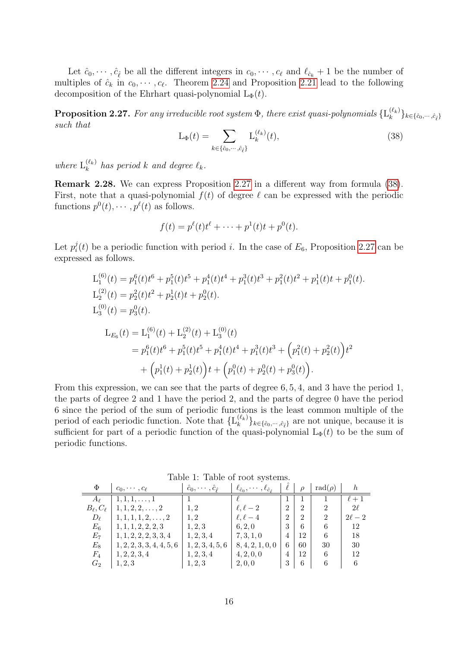Let  $\hat{c}_0, \dots, \hat{c}_{\hat{\ell}}$  be all the different integers in  $c_0, \dots, c_{\ell}$  and  $\ell_{\hat{c}_k} + 1$  be the number of multiples of  $\hat{c}_k$  in  $c_0, \dots, c_\ell$ . Theorem [2.24](#page-14-1) and Proposition [2.21](#page-12-3) lead to the following decomposition of the Ehrhart quasi-polynomial  $L_{\Phi}(t)$ .

<span id="page-15-0"></span>**Proposition 2.27.** For any irreducible root system  $\Phi$ , there exist quasi-polynomials  $\{\mathbf{L}_{k}^{(\ell_{k})}$  $\{e_k^{(k_k)}\}_{k\in\{\hat{c}_0,\cdots,\hat{c}_{\hat{\ell}}\}}$ such that

<span id="page-15-2"></span>
$$
L_{\Phi}(t) = \sum_{k \in \{\hat{c}_0, \cdots, \hat{c}_{\hat{\ell}}\}} L_k^{(\ell_k)}(t),\tag{38}
$$

where  $\mathcal{L}_k^{(\ell_k)}$  $\int_{k}^{(\ell_k)}$  has period k and degree  $\ell_k$ .

Remark 2.28. We can express Proposition [2.27](#page-15-0) in a different way from formula [\(38\)](#page-15-2). First, note that a quasi-polynomial  $f(t)$  of degree  $\ell$  can be expressed with the periodic functions  $p^0(t), \cdots, p^\ell(t)$  as follows.

$$
f(t) = p^{\ell}(t)t^{\ell} + \cdots + p^{1}(t)t + p^{0}(t).
$$

Let  $p_i^j$  $i(t)$  be a periodic function with period i. In the case of  $E_6$ , Proposition [2.27](#page-15-0) can be expressed as follows.

$$
L_1^{(6)}(t) = p_1^6(t)t^6 + p_1^5(t)t^5 + p_1^4(t)t^4 + p_1^3(t)t^3 + p_1^2(t)t^2 + p_1^1(t)t + p_1^0(t).
$$
  
\n
$$
L_2^{(2)}(t) = p_2^2(t)t^2 + p_2^1(t)t + p_2^0(t).
$$
  
\n
$$
L_3^{(0)}(t) = p_3^0(t).
$$
  
\n
$$
L_{E_6}(t) = L_1^{(6)}(t) + L_2^{(2)}(t) + L_3^{(0)}(t)
$$
  
\n
$$
= p_1^6(t)t^6 + p_1^5(t)t^5 + p_1^4(t)t^4 + p_1^3(t)t^3 + (p_1^2(t) + p_2^2(t))t^2
$$
  
\n
$$
+ (p_1^1(t) + p_2^1(t))t + (p_1^0(t) + p_2^0(t) + p_3^0(t)).
$$

From this expression, we can see that the parts of degree 6, 5, 4, and 3 have the period 1, the parts of degree 2 and 1 have the period 2, and the parts of degree 0 have the period 6 since the period of the sum of periodic functions is the least common multiple of the period of each periodic function. Note that  $\{\mathcal{L}_{k}^{(\ell_{k})}\}$  $\{e_k^{(k_k)}\}_{k\in\{\hat{c}_0,\dots,\hat{c}_{\hat{\ell}}\}}$  are not unique, because it is sufficient for part of a periodic function of the quasi-polynomial  $L_{\Phi}(t)$  to be the sum of periodic functions.

| Φ                    | $c_0, \cdots, c_\ell$      | $\ddot{c}_0, \cdots, \ddot{c}_{\hat{c}}$ | $\ell_{\hat{c}_0},\cdots,\ell_{\hat{c}_{\hat{c}}}$ |   | $\Omega$       | $rad(\rho)$    |           |
|----------------------|----------------------------|------------------------------------------|----------------------------------------------------|---|----------------|----------------|-----------|
| $A_{\ell}$           | $1, 1, 1, \ldots, 1$       |                                          |                                                    |   |                |                | $\ell+1$  |
| $B_{\ell}, C_{\ell}$ | $1, 1, 2, 2, \ldots, 2$    | 1.2                                      | $\ell, \ell-2$                                     | 2 | 2              | 2              | $2\ell$   |
| $D_{\ell}$           | $1, 1, 1, 1, 2, \ldots, 2$ | 1.2                                      | $\ell, \ell-4$                                     | 2 | $\overline{2}$ | $\overline{2}$ | $2\ell-2$ |
| $E_6$                | 1, 1, 1, 2, 2, 2, 3        | 1, 2, 3                                  | 6, 2, 0                                            | 3 | 6              |                | 12        |
| $E_7$                | 1, 1, 2, 2, 2, 3, 3, 4     | 1, 2, 3, 4                               | 7, 3, 1, 0                                         | 4 | 12             | 6              | 18        |
| $E_8$                | 1, 2, 2, 3, 3, 4, 4, 5, 6  | 1, 2, 3, 4, 5, 6                         | 8, 4, 2, 1, 0, 0                                   | 6 | 60             | 30             | 30        |
| $F_4$                | 1, 2, 2, 3, 4              | 1, 2, 3, 4                               | 4, 2, 0, 0                                         | 4 | 12             | 6              | 12        |
| $G_2$                | 1, 2, 3                    | 1, 2, 3                                  | 2, 0, 0                                            | 3 | 6              |                |           |

<span id="page-15-1"></span>Table 1: Table of root systems.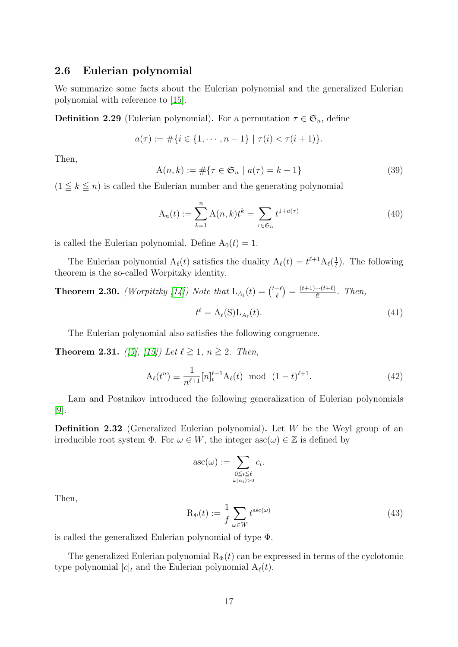#### <span id="page-16-0"></span>2.6 Eulerian polynomial

We summarize some facts about the Eulerian polynomial and the generalized Eulerian polynomial with reference to [\[15\]](#page-26-0).

**Definition 2.29** (Eulerian polynomial). For a permutation  $\tau \in \mathfrak{S}_n$ , define

$$
a(\tau) := \#\{i \in \{1, \cdots, n-1\} \mid \tau(i) < \tau(i+1)\}.
$$

Then,

$$
A(n,k) := #\{\tau \in \mathfrak{S}_n \mid a(\tau) = k - 1\}
$$
\n(39)

 $(1 \leq k \leq n)$  is called the Eulerian number and the generating polynomial

$$
A_n(t) := \sum_{k=1}^n A(n,k)t^k = \sum_{\tau \in \mathfrak{S}_n} t^{1+a(\tau)} \tag{40}
$$

is called the Eulerian polynomial. Define  $A_0(t) = 1$ .

The Eulerian polynomial  $A_{\ell}(t)$  satisfies the duality  $A_{\ell}(t) = t^{\ell+1}A_{\ell}(\frac{1}{t})$  $\frac{1}{t}$ ). The following theorem is the so-called Worpitzky identity.

**Theorem 2.30.** (Worpitzky [\[14\]](#page-26-3)) Note that  $L_{A_{\ell}}(t) = \begin{pmatrix} t+\ell \\ \ell \end{pmatrix}$  $\binom{t+\ell}{\ell} = \frac{(t+1)\cdots(t+\ell)}{\ell!}$  $\frac{m(t+\ell)}{\ell!}$ . Then,

> <span id="page-16-2"></span> $t^\ell = \mathrm{A}_\ell(\mathrm{S})\mathrm{L}_{A_\ell}$  $(t).$  (41)

The Eulerian polynomial also satisfies the following congruence.

<span id="page-16-1"></span>**Theorem 2.31.** ([\[5\]](#page-25-6), [\[15\]](#page-26-0)) Let  $\ell \ge 1$ ,  $n \ge 2$ . Then,

$$
A_{\ell}(t^n) \equiv \frac{1}{n^{\ell+1}} [n]_t^{\ell+1} A_{\ell}(t) \text{ mod } (1-t)^{\ell+1}.
$$
 (42)

Lam and Postnikov introduced the following generalization of Eulerian polynomials [\[9\]](#page-25-3).

**Definition 2.32** (Generalized Eulerian polynomial). Let  $W$  be the Weyl group of an irreducible root system  $\Phi$ . For  $\omega \in W$ , the integer  $asc(\omega) \in \mathbb{Z}$  is defined by

$$
\mathrm{asc}(\omega) := \sum_{\substack{0 \le i \le \ell \\ \omega(\alpha_i) > 0}} c_i.
$$

Then,

$$
R_{\Phi}(t) := \frac{1}{f} \sum_{\omega \in W} t^{\text{asc}(\omega)} \tag{43}
$$

is called the generalized Eulerian polynomial of type Φ.

The generalized Eulerian polynomial  $R_{\Phi}(t)$  can be expressed in terms of the cyclotomic type polynomial  $[c]_t$  and the Eulerian polynomial  $A_\ell(t)$ .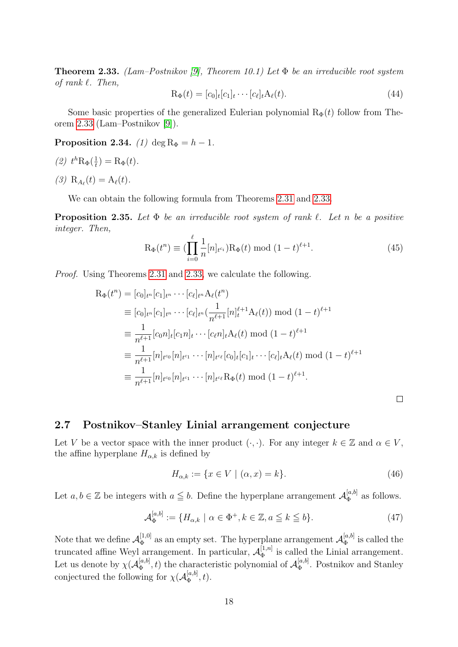<span id="page-17-1"></span>**Theorem 2.33.** (Lam–Postnikov [\[9\]](#page-25-3), Theorem 10.1) Let  $\Phi$  be an irreducible root system of rank  $\ell$ . Then,

$$
\mathbf{R}_{\Phi}(t) = [c_0]_t[c_1]_t \cdots [c_\ell]_t \mathbf{A}_\ell(t). \tag{44}
$$

Some basic properties of the generalized Eulerian polynomial  $R_{\Phi}(t)$  follow from Theorem [2.33](#page-17-1) (Lam–Postnikov [\[9\]](#page-25-3)).

**Proposition 2.34.** (1) deg  $R_{\Phi} = h - 1$ .

$$
(2) th \mathcal{R}_{\Phi}(\frac{1}{t}) = \mathcal{R}_{\Phi}(t).
$$

(3)  $R_{A_{\ell}}(t) = A_{\ell}(t)$ .

We can obtain the following formula from Theorems [2.31](#page-16-1) and [2.33.](#page-17-1)

<span id="page-17-2"></span>**Proposition 2.35.** Let  $\Phi$  be an irreducible root system of rank  $\ell$ . Let n be a positive integer. Then,

$$
R_{\Phi}(t^n) \equiv \left(\prod_{i=0}^{\ell} \frac{1}{n} [n]_{t^{c_i}}\right) R_{\Phi}(t) \bmod (1-t)^{\ell+1}.
$$
 (45)

Proof. Using Theorems [2.31](#page-16-1) and [2.33,](#page-17-1) we calculate the following.

$$
R_{\Phi}(t^{n}) = [c_{0}]_{t^{n}} [c_{1}]_{t^{n}} \cdots [c_{\ell}]_{t^{n}} A_{\ell}(t^{n})
$$
  
\n
$$
\equiv [c_{0}]_{t^{n}} [c_{1}]_{t^{n}} \cdots [c_{\ell}]_{t^{n}} (\frac{1}{n^{\ell+1}} [n]_{t}^{\ell+1} A_{\ell}(t)) \bmod (1-t)^{\ell+1}
$$
  
\n
$$
\equiv \frac{1}{n^{\ell+1}} [c_{0}n]_{t} [c_{1}n]_{t} \cdots [c_{\ell}n]_{t} A_{\ell}(t) \bmod (1-t)^{\ell+1}
$$
  
\n
$$
\equiv \frac{1}{n^{\ell+1}} [n]_{t^{c_{0}}}[n]_{t^{c_{1}}} \cdots [n]_{t^{c_{\ell}}} [c_{0}]_{t} [c_{1}]_{t} \cdots [c_{\ell}]_{t} A_{\ell}(t) \bmod (1-t)^{\ell+1}
$$
  
\n
$$
\equiv \frac{1}{n^{\ell+1}} [n]_{t^{c_{0}}}[n]_{t^{c_{1}}} \cdots [n]_{t^{c_{\ell}}} R_{\Phi}(t) \bmod (1-t)^{\ell+1}.
$$

### <span id="page-17-0"></span>2.7 Postnikov–Stanley Linial arrangement conjecture

Let V be a vector space with the inner product  $(\cdot, \cdot)$ . For any integer  $k \in \mathbb{Z}$  and  $\alpha \in V$ , the affine hyperplane  $H_{\alpha,k}$  is defined by

$$
H_{\alpha,k} := \{ x \in V \mid (\alpha, x) = k \}.
$$
\n(46)

 $\Box$ 

Let  $a, b \in \mathbb{Z}$  be integers with  $a \leq b$ . Define the hyperplane arrangement  $\mathcal{A}_{\Phi}^{[a,b]}$  $\mathbb{E}_{\Phi}^{[a,0]}$  as follows.

$$
\mathcal{A}_{\Phi}^{[a,b]} := \{ H_{\alpha,k} \mid \alpha \in \Phi^+, k \in \mathbb{Z}, a \leqq k \leqq b \}. \tag{47}
$$

Note that we define  $\mathcal{A}_{\Phi}^{[1,0]}$  $\Phi_{\Phi}^{[1,0]}$  as an empty set. The hyperplane arrangement  $\mathcal{A}_{\Phi}^{[a,b]}$  $\mathfrak{g}^{[a,0]}_{\Phi}$  is called the truncated affine Weyl arrangement. In particular,  $\mathcal{A}_{\Phi}^{[1,n]}$  $\Phi_{\Phi}^{[1,n]}$  is called the Linial arrangement. Let us denote by  $\chi(\mathcal{A}_{\Phi}^{[a,b]}$  $\mathbf{a}_{\Phi}^{[a,b]}$ , t) the characteristic polynomial of  $\mathcal{A}_{\Phi}^{[a,b]}$  $\mathbb{R}_{\Phi}^{[a, b]}$ . Postnikov and Stanley conjectured the following for  $\chi(A_{\Phi}^{[a,b]}$  $\mathcal{L}_{\Phi}^{[a,0]},t).$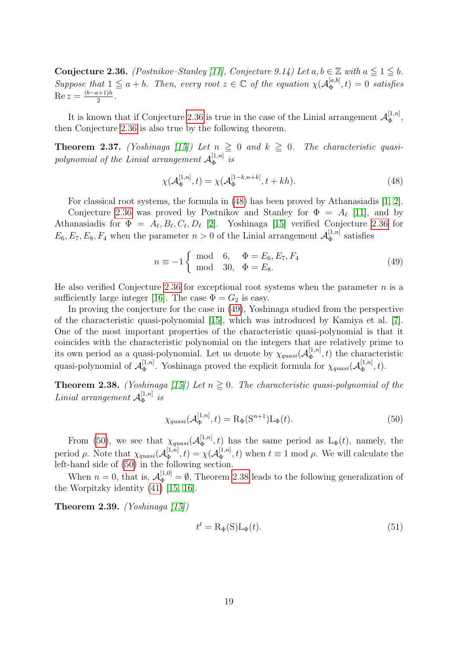<span id="page-18-1"></span>Conjecture 2.36. (Postnikov–Stanley [\[11\]](#page-25-0), Conjecture 9.14) Let  $a, b \in \mathbb{Z}$  with  $a \leq 1 \leq b$ . Suppose that  $1 \leq a + b$ . Then, every root  $z \in \mathbb{C}$  of the equation  $\chi(A_{\Phi}^{[a,b]})$  $\mathbf{L}_{\Phi}^{[a,0]}(t) = 0$  satisfies  $\operatorname{Re} z = \frac{(b-a+1)h}{2}$  $\frac{\frac{n+1}{n}}{2}$ .

It is known that if Conjecture [2.36](#page-18-1) is true in the case of the Linial arrangement  $\mathcal{A}_{\Phi}^{[1,n]}$  $\stackrel{[1,n]}{\Phi} ,$ then Conjecture [2.36](#page-18-1) is also true by the following theorem.

**Theorem 2.37.** (Yoshinaga [\[15\]](#page-26-0)) Let  $n \ge 0$  and  $k \ge 0$ . The characteristic quasipolynomial of the Linial arrangement  $\mathcal{A}_{\Phi}^{[1,n]}$  $\mathfrak{s}_\Phi^{[1,n]}$  is

<span id="page-18-2"></span>
$$
\chi(\mathcal{A}_{\Phi}^{[1,n]},t) = \chi(\mathcal{A}_{\Phi}^{[1-k,n+k]},t+kh). \tag{48}
$$

For classical root systems, the formula in [\(48\)](#page-18-2) has been proved by Athanasiadis [\[1,](#page-25-7) [2\]](#page-25-1). Conjecture [2.36](#page-18-1) was proved by Postnikov and Stanley for  $\Phi = A_{\ell}$  [\[11\]](#page-25-0), and by Athanasiadis for  $\Phi = A_{\ell}, B_{\ell}, C_{\ell}, D_{\ell}$  [\[2\]](#page-25-1). Yoshinaga [\[15\]](#page-26-0) verified Conjecture [2.36](#page-18-1) for  $E_6, E_7, E_8, F_4$  when the parameter  $n > 0$  of the Linial arrangement  $\mathcal{A}_{\Phi}^{[1,n]}$  $\mathfrak{g}^{\mathfrak{l},n}$  satisfies

<span id="page-18-3"></span>
$$
n \equiv -1 \begin{cases} \mod{6}, & \Phi = E_6, E_7, F_4 \\ \mod{30}, & \Phi = E_8. \end{cases}
$$
 (49)

He also verified Conjecture [2.36](#page-18-1) for exceptional root systems when the parameter  $n$  is a sufficiently large integer [\[16\]](#page-26-4). The case  $\Phi = G_2$  is easy.

In proving the conjecture for the case in [\(49\)](#page-18-3), Yoshinaga studied from the perspective of the characteristic quasi-polynomial [\[15\]](#page-26-0), which was introduced by Kamiya et al. [\[7\]](#page-25-2). One of the most important properties of the characteristic quasi-polynomial is that it coincides with the characteristic polynomial on the integers that are relatively prime to its own period as a quasi-polynomial. Let us denote by  $\chi_{quasi}(\mathcal{A}_{\Phi}^{[1,n]})$  $(\frac{1}{\Phi}, t)$  the characteristic quasi-polynomial of  $\mathcal{A}_{\Phi}^{[1,n]}$ <sup>[1,n]</sup>. Yoshinaga proved the explicit formula for  $\chi_{quasi}(\mathcal{A}_{\Phi}^{[1,n]})$  $\overline{\Phi}^{[1,n]},t).$ 

<span id="page-18-0"></span>**Theorem 2.38.** (Yoshinaga [\[15\]](#page-26-0)) Let  $n \ge 0$ . The characteristic quasi-polynomial of the *Linial arrangement*  $\mathcal{A}_{\Phi}^{[1,n]}$  $\stackrel{[1,n]}{\Phi}{}~is$ 

<span id="page-18-4"></span>
$$
\chi_{quasi}(\mathcal{A}_{\Phi}^{[1,n]},t) = \mathcal{R}_{\Phi}(\mathcal{S}^{n+1})\mathcal{L}_{\Phi}(t). \tag{50}
$$

From [\(50\)](#page-18-4), we see that  $\chi_{quasi}(\mathcal{A}_{\Phi}^{[1,n]})$  $\mathbb{L}^{[1,n]}$ , t) has the same period as  $\mathcal{L}_{\Phi}(t)$ , namely, the period  $\rho$ . Note that  $\chi_{quasi}(\mathcal{A}_{\Phi}^{[1,n]})$  $\mathcal{A}_{\Phi}^{[1,n]},t)=\chi(\mathcal{A}_{\Phi}^{[1,n]}% )\geq\chi(\mathcal{A}_{\Phi}^{[1,n]}% )\geq\chi(\mathcal{A}_{\Phi}^{[1,n]}% )$  $(\Phi_{\Phi}^{[1,n]}, t)$  when  $t \equiv 1 \mod \rho$ . We will calculate the left-hand side of [\(50\)](#page-18-4) in the following section.

When  $n = 0$ , that is,  $\mathcal{A}_{\Phi}^{[1,0]} = \emptyset$ , Theorem [2.38](#page-18-0) leads to the following generalization of the Worpitzky identity [\(41\)](#page-16-2) [\[15,](#page-26-0) [16\]](#page-26-4).

<span id="page-18-5"></span>**Theorem 2.39.** (Yoshinaga  $[15]$ )

$$
t^{\ell} = \mathcal{R}_{\Phi}(\mathcal{S}) \mathcal{L}_{\Phi}(t). \tag{51}
$$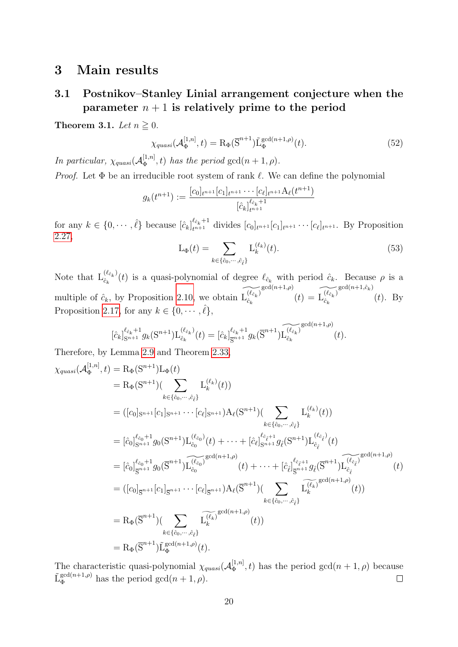# <span id="page-19-0"></span>3 Main results

# <span id="page-19-1"></span>3.1 Postnikov–Stanley Linial arrangement conjecture when the parameter  $n + 1$  is relatively prime to the period

<span id="page-19-2"></span>Theorem 3.1. Let  $n \ge 0$ .

$$
\chi_{quasi}(\mathcal{A}_{\Phi}^{[1,n]},t) = \mathcal{R}_{\Phi}(\overline{S}^{n+1}) \tilde{\mathcal{L}}_{\Phi}^{\gcd(n+1,\rho)}(t). \tag{52}
$$

In particular,  $\chi_{quasi}(\mathcal{A}_{\Phi}^{[1,n]})$  $\mathbb{E}_{\Phi}^{[1,n]}(t)$  has the period  $gcd(n+1,\rho)$ .

*Proof.* Let  $\Phi$  be an irreducible root system of rank  $\ell$ . We can define the polynomial

$$
g_k(t^{n+1}) := \frac{[c_0]_{t^{n+1}}[c_1]_{t^{n+1}} \cdots [c_\ell]_{t^{n+1}} A_\ell(t^{n+1})}{[\hat{c}_k]_{t^{n+1}}^{\ell_{\hat{c}_k}+1}}
$$

for any  $k \in \{0, \dots, \hat{\ell}\}\)$  because  $[\hat{c}_k]_{t^{n+1}}^{\ell_{\hat{c}_k}+1}$  divides  $[c_0]_{t^{n+1}}[c_1]_{t^{n+1}} \dots [c_{\ell}]_{t^{n+1}}$ . By Proposition [2.27,](#page-15-0)

$$
L_{\Phi}(t) = \sum_{k \in \{\hat{c}_0, \cdots, \hat{c}_{\hat{\ell}}\}} L_k^{(\ell_k)}(t). \tag{53}
$$

Note that  $L_{\hat{c}_k}^{(\ell_{\hat{c}_k})}$  $\hat{c}_{k}(c_{c_k})$  (*t*) is a quasi-polynomial of degree  $\ell_{\hat{c}_k}$  with period  $\hat{c}_k$ . Because  $\rho$  is a multiple of  $\hat{c}_k$ , by Proposition [2.10,](#page-7-1) we obtain  $\widetilde{L_{\hat{c}_k}^{(\ell_{\hat{c}_k})}}$  $\hat{c}_k$  $\widetilde{\mathrm{gcd}(n+1,\rho)}(t) = \widetilde{\mathrm{L}_{\hat{c}_k}^{(\ell_{\hat{c}_k})}}$  $\hat{c}_k$  $gcd(n+1,\hat{c}_k)$  $(t)$ . By Proposition [2.17,](#page-11-1) for any  $k \in \{0, \cdots, \hat{\ell}\},\$ 

$$
[\hat{c}_k]_{\mathcal{S}^{n+1}}^{\ell_{\hat{c}_k}+1} g_k(\mathcal{S}^{n+1}) \mathcal{L}_{\hat{c}_k}^{(\ell_{\hat{c}_k})}(t) = [\hat{c}_k]_{\overline{\mathcal{S}}^{n+1}}^{\ell_{\hat{c}_k}+1} g_k(\overline{\mathcal{S}}^{n+1}) \widetilde{\mathcal{L}_{\hat{c}_k}^{(\ell_{\hat{c}_k})}}^{\mathsf{gcd}(n+1,\rho)}(t).
$$

Therefore, by Lemma [2.9](#page-7-2) and Theorem [2.33,](#page-17-1)

$$
\chi_{quasi}(\mathcal{A}_{\Phi}^{[1,n]},t) = R_{\Phi}(S^{n+1})(\sum_{k \in \{\hat{c}_0, \cdots, \hat{c}_{\hat{\ell}}\}} L_k^{(\ell_k)}(t))
$$
\n
$$
= ([c_0]_{S^{n+1}}[c_1]_{S^{n+1}} \cdots [c_{\ell}]_{S^{n+1}}) A_{\ell}(S^{n+1})(\sum_{k \in \{\hat{c}_0, \cdots, \hat{c}_{\hat{\ell}}\}} L_k^{(\ell_k)}(t))
$$
\n
$$
= [\hat{c}_0]_{S^{n+1}}^{\ell_{\hat{c}_0}+1} g_0(S^{n+1}) L_{\hat{c}_0}^{(\ell_{\hat{c}_0})}(t) + \cdots + [\hat{c}_{\ell}]_{S^{n+1}}^{\ell_{\hat{c}_{\hat{\ell}+1}}} g_{\ell}(S^{n+1}) L_{\hat{c}_{\hat{\ell}}}^{(\ell_{\hat{\ell}_{\hat{\ell}}})}(t)
$$
\n
$$
= [\hat{c}_0]_{S^{n+1}}^{\ell_{\hat{c}_0}+1} g_0(\overline{S}^{n+1}) \widetilde{L}_{\hat{c}_0}^{(\ell_{\hat{c}_0})}(t) + \cdots + [\hat{c}_{\ell}]_{S^{n+1}}^{\ell_{\hat{c}_{\hat{\ell}+1}}} g_{\ell}(\overline{S}^{n+1}) \widetilde{L}_{\hat{c}_{\hat{\ell}}}^{(\ell_{\hat{\ell}_{\hat{\ell}}})} (t)
$$
\n
$$
= ([c_0]_{S^{n+1}}[c_1]_{S^{n+1}} \cdots [c_{\ell}]_{S^{n+1}}) A_{\ell}(\overline{S}^{n+1}) (\sum_{k \in \{\hat{c}_0, \cdots, \hat{c}_{\hat{\ell}}\}} \widetilde{L}_{k}^{(\ell_k)} \mathrm{gcd}(n+1,\rho)
$$
\n
$$
= R_{\Phi}(\overline{S}^{n+1})(\sum_{k \in \{\hat{c}_0, \cdots, \hat{c}_{\hat{\ell}}\}} \widetilde{L}_{k}^{(\ell_k)} \mathrm{gcd}(n+1,\rho)
$$
\n
$$
= R_{\Phi}(\overline{S}^{n+1}) \widetilde{L}_{\Phi}^{\mathrm{gcd}(n+1,\rho)}(t).
$$

The characteristic quasi-polynomial  $\chi_{quasi}(\mathcal{A}_{\Phi}^{[1,n]})$  $\mathbb{E}_{\Phi}^{[1,n]}(t)$  has the period  $gcd(n+1,\rho)$  because  $\tilde{\mathcal{L}}_{\Phi}^{\gcd(n+1,\rho)}$  has the period  $\gcd(n+1,\rho)$ .  $\Box$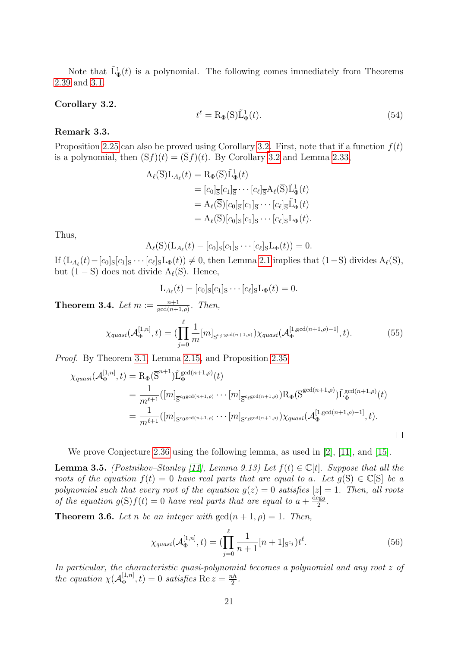Note that  $\tilde{L}^1_{\Phi}(t)$  is a polynomial. The following comes immediately from Theorems [2.39](#page-18-5) and [3.1.](#page-19-2)

#### <span id="page-20-3"></span>Corollary 3.2.

$$
t^{\ell} = \mathcal{R}_{\Phi}(\mathcal{S}) \tilde{\mathcal{L}}_{\Phi}^{1}(t). \tag{54}
$$

#### Remark 3.3.

Proposition [2.25](#page-14-3) can also be proved using Corollary [3.2.](#page-20-3) First, note that if a function  $f(t)$ is a polynomial, then  $(Sf)(t) = (\overline{S}f)(t)$ . By Corollary [3.2](#page-20-3) and Lemma [2.33,](#page-17-1)

$$
A_{\ell}(\overline{S})L_{A_{\ell}}(t) = R_{\Phi}(\overline{S})\tilde{L}_{\Phi}^{1}(t)
$$
  
\n
$$
= [c_{0}]_{\overline{S}}[c_{1}]_{\overline{S}} \cdots [c_{\ell}]_{\overline{S}} A_{\ell}(\overline{S})\tilde{L}_{\Phi}^{1}(t)
$$
  
\n
$$
= A_{\ell}(\overline{S})[c_{0}]_{\overline{S}}[c_{1}]_{\overline{S}} \cdots [c_{\ell}]_{\overline{S}}\tilde{L}_{\Phi}^{1}(t)
$$
  
\n
$$
= A_{\ell}(\overline{S})[c_{0}]_{S}[c_{1}]_{S} \cdots [c_{\ell}]_{S}L_{\Phi}(t).
$$

Thus,

$$
\mathbf{A}_{\ell}(\mathbf{S})(\mathbf{L}_{A_{\ell}}(t)-[c_0]_{\mathbf{S}}[c_1]_{\mathbf{S}}\cdots[c_{\ell}]_{\mathbf{S}}\mathbf{L}_{\Phi}(t))=0.
$$

If  $(L_{A_{\ell}}(t) - [c_0]_S[c_1]_S \cdots [c_{\ell}]_S L_{\Phi}(t)) \neq 0$ , then Lemma [2.1](#page-3-1) implies that  $(1-S)$  divides  $A_{\ell}(S)$ , but  $(1 - S)$  does not divide  $A_{\ell}(S)$ . Hence,

$$
L_{A_{\ell}}(t) - [c_0]_S[c_1]_S \cdots [c_{\ell}]_S L_{\Phi}(t) = 0.
$$

<span id="page-20-0"></span>**Theorem 3.4.** Let  $m := \frac{n+1}{\gcd(n+1,\rho)}$ . Then,

$$
\chi_{quasi}(\mathcal{A}_{\Phi}^{[1,n]},t) = \left(\prod_{j=0}^{\ell} \frac{1}{m} [m]_{\mathcal{S}^{c_j \text{-}\mathrm{gcd}(n+1,\rho)}}\right) \chi_{quasi}(\mathcal{A}_{\Phi}^{[1,\mathrm{gcd}(n+1,\rho)-1]},t). \tag{55}
$$

Proof. By Theorem [3.1,](#page-19-2) Lemma [2.15,](#page-0-0) and Proposition [2.35,](#page-17-2)

$$
\chi_{quasi}(\mathcal{A}_{\Phi}^{[1,n]},t) = \mathcal{R}_{\Phi}(\overline{S}^{n+1}) \tilde{L}_{\Phi}^{\gcd(n+1,\rho)}(t)
$$
  
\n
$$
= \frac{1}{m^{\ell+1}} ([m]_{\overline{S}^{c_0 \gcd(n+1,\rho)}} \cdots [m]_{\overline{S}^{c_{\ell} \gcd(n+1,\rho)}}) \mathcal{R}_{\Phi}(\overline{S}^{\gcd(n+1,\rho)}) \tilde{L}_{\Phi}^{\gcd(n+1,\rho)}(t)
$$
  
\n
$$
= \frac{1}{m^{\ell+1}} ([m]_{S^{c_0 \gcd(n+1,\rho)}} \cdots [m]_{S^{c_{\ell} \gcd(n+1,\rho)}}) \chi_{quasi}(\mathcal{A}_{\Phi}^{[1, \gcd(n+1,\rho)-1]},t).
$$

We prove Conjecture [2.36](#page-18-1) using the following lemma, as used in [\[2\]](#page-25-1), [\[11\]](#page-25-0), and [\[15\]](#page-26-0).

<span id="page-20-2"></span>**Lemma 3.5.** (Postnikov–Stanley [\[11\]](#page-25-0), Lemma 9.13) Let  $f(t) \in \mathbb{C}[t]$ . Suppose that all the roots of the equation  $f(t) = 0$  have real parts that are equal to a. Let  $q(S) \in \mathbb{C}[S]$  be a polynomial such that every root of the equation  $g(z) = 0$  satisfies  $|z| = 1$ . Then, all roots of the equation  $g(S)f(t) = 0$  have real parts that are equal to  $a + \frac{deg g}{2}$  $rac{\log g}{2}$  .

<span id="page-20-1"></span>**Theorem 3.6.** Let n be an integer with  $gcd(n+1, \rho) = 1$ . Then,

$$
\chi_{quasi}(\mathcal{A}_{\Phi}^{[1,n]},t) = (\prod_{j=0}^{\ell} \frac{1}{n+1}[n+1]_{S^{c_j}})t^{\ell}.
$$
\n(56)

In particular, the characteristic quasi-polynomial becomes a polynomial and any root z of the equation  $\chi(\mathcal{A}_{\Phi}^{[1,n]})$  $\mathbb{E}_{\Phi}^{[1,n]}(t)=0$  satisfies Re  $z=\frac{nh}{2}$  $\frac{\imath h}{2}$  .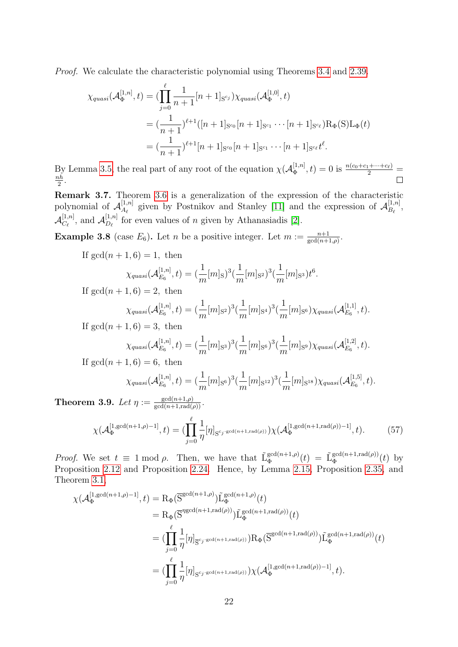Proof. We calculate the characteristic polynomial using Theorems [3.4](#page-20-0) and [2.39.](#page-18-5)

$$
\chi_{quasi}(\mathcal{A}_{\Phi}^{[1,n]},t) = (\prod_{j=0}^{\ell} \frac{1}{n+1} [n+1]_{S^{c_j}}) \chi_{quasi}(\mathcal{A}_{\Phi}^{[1,0]},t)
$$
  

$$
= (\frac{1}{n+1})^{\ell+1} ([n+1]_{S^{c_0}} [n+1]_{S^{c_1}} \cdots [n+1]_{S^{c_{\ell}}}) \mathcal{R}_{\Phi}(S) \mathcal{L}_{\Phi}(t)
$$
  

$$
= (\frac{1}{n+1})^{\ell+1} [n+1]_{S^{c_0}} [n+1]_{S^{c_1}} \cdots [n+1]_{S^{c_{\ell}}} t^{\ell}.
$$

By Lemma [3.5,](#page-20-2) the real part of any root of the equation  $\chi(A_{\Phi}^{[1,n]}$  $\frac{[1,n]}{\Phi}, t) = 0$  is  $\frac{n(c_0+c_1+\cdots+c_\ell)}{2}$  =  $\frac{nh}{h}$  $\frac{\imath h}{2}$ .

Remark 3.7. Theorem [3.6](#page-20-1) is a generalization of the expression of the characteristic polynomial of  $\mathcal{A}_{A_{\ell}}^{[1,n]}$  $\mathbb{R}^{[1,n]}_{A_{\ell}}$  given by Postnikov and Stanley [\[11\]](#page-25-0) and the expression of  $\mathcal{A}_{B_{\ell}}^{[1,n]}$  $B_{\ell}^{[1,n]},$  $\mathcal{A}_{C_\ell}^{[1,n]}$  $\mathcal{L}^{[1,n]}_{C_{\ell}}$ , and  $\mathcal{A}_{D_{\ell}}^{[1,n]}$  $D_{\ell}^{[1,n]}$  for even values of n given by Athanasiadis [\[2\]](#page-25-1).

**Example 3.8** (case  $E_6$ ). Let *n* be a positive integer. Let  $m := \frac{n+1}{\gcd(n+1,\rho)}$ .

If  $gcd(n + 1, 6) = 1$ , then

$$
\chi_{quasi}(\mathcal{A}_{E_6}^{[1,n]},t) = (\frac{1}{m}[m]_{\text{S}})^3(\frac{1}{m}[m]_{\text{S}^2})^3(\frac{1}{m}[m]_{\text{S}^3})t^6.
$$

If  $gcd(n+1, 6) = 2$ , then

$$
\chi_{quasi}(\mathcal{A}_{E_6}^{[1,n]},t) = (\frac{1}{m}[m]_{\mathbf{S}^2})^3(\frac{1}{m}[m]_{\mathbf{S}^4})^3(\frac{1}{m}[m]_{\mathbf{S}^6})\chi_{quasi}(\mathcal{A}_{E_6}^{[1,1]},t).
$$

If  $gcd(n + 1, 6) = 3$ , then

$$
\chi_{quasi}(\mathcal{A}_{E_6}^{[1,n]},t)=(\frac{1}{m}[m]_{\mathbf{S}^3})^3(\frac{1}{m}[m]_{\mathbf{S}^6})^3(\frac{1}{m}[m]_{\mathbf{S}^9})\chi_{quasi}(\mathcal{A}_{E_6}^{[1,2]},t).
$$

If  $gcd(n + 1, 6) = 6$ , then

$$
\chi_{quasi}(\mathcal{A}_{E_6}^{[1,n]},t) = (\frac{1}{m}[m]_{S^6})^3(\frac{1}{m}[m]_{S^{12}})^3(\frac{1}{m}[m]_{S^{18}})\chi_{quasi}(\mathcal{A}_{E_6}^{[1,5]},t).
$$

<span id="page-21-0"></span>**Theorem 3.9.** Let  $\eta := \frac{\gcd(n+1,\rho)}{\gcd(n+1,\text{rad}(\rho))}$ .

$$
\chi(\mathcal{A}_{\Phi}^{[1,\gcd(n+1,\rho)-1]},t) = (\prod_{j=0}^{\ell} \frac{1}{\eta} [\eta]_{S^{c_j:\gcd(n+1,\text{rad}(\rho))}}) \chi(\mathcal{A}_{\Phi}^{[1,\gcd(n+1,\text{rad}(\rho))-1]},t).
$$
 (57)

*Proof.* We set  $t \equiv 1 \mod \rho$ . Then, we have that  $\tilde{L}_{\Phi}^{\gcd(n+1,\rho)}$  $\mathbb{E}_{\Phi}^{\gcd(n+1,\rho)}(t) = \tilde{\mathrm{L}}_{\Phi}^{\gcd(n+1,\mathrm{rad}(\rho))}$  $\int_{\Phi}^{\gcd(n+1,\text{rad}(\rho))}(t)$  by Proposition [2.12](#page-9-4) and Proposition [2.24.](#page-14-1) Hence, by Lemma [2.15,](#page-0-0) Proposition [2.35,](#page-17-2) and Theorem [3.1,](#page-19-2)

$$
\chi(\mathcal{A}_{\Phi}^{[1,\text{gcd}(n+1,\rho)-1]},t) = \mathcal{R}_{\Phi}(\overline{S}^{\text{gcd}(n+1,\rho)}) \tilde{L}_{\Phi}^{\text{gcd}(n+1,\rho)}(t)
$$
\n
$$
= \mathcal{R}_{\Phi}(\overline{S}^{\eta \text{gcd}(n+1,\text{rad}(\rho))}) \tilde{L}_{\Phi}^{\text{gcd}(n+1,\text{rad}(\rho))}(t)
$$
\n
$$
= (\prod_{j=0}^{\ell} \frac{1}{\eta} [\eta]_{\overline{S}^{c_j \cdot \text{gcd}(n+1,\text{rad}(\rho))}}) \mathcal{R}_{\Phi}(\overline{S}^{\text{gcd}(n+1,\text{rad}(\rho))}) \tilde{L}_{\Phi}^{\text{gcd}(n+1,\text{rad}(\rho))}(t)
$$
\n
$$
= (\prod_{j=0}^{\ell} \frac{1}{\eta} [\eta]_{S^{c_j \cdot \text{gcd}(n+1,\text{rad}(\rho))}}) \chi(\mathcal{A}_{\Phi}^{[1,\text{gcd}(n+1,\text{rad}(\rho))-1]},t).
$$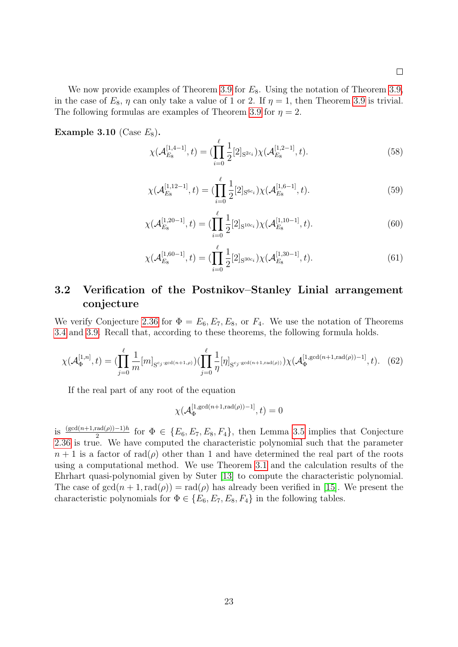We now provide examples of Theorem [3.9](#page-21-0) for  $E_8$ . Using the notation of Theorem [3.9,](#page-21-0) in the case of  $E_8$ ,  $\eta$  can only take a value of 1 or 2. If  $\eta = 1$ , then Theorem [3.9](#page-21-0) is trivial. The following formulas are examples of Theorem [3.9](#page-21-0) for  $\eta = 2$ .

Example 3.10 (Case  $E_8$ ).

$$
\chi(\mathcal{A}_{E_8}^{[1,4-1]},t) = (\prod_{i=0}^{\ell} \frac{1}{2} [2]_{S^{2c_i}}) \chi(\mathcal{A}_{E_8}^{[1,2-1]},t).
$$
 (58)

$$
\chi(\mathcal{A}_{E_8}^{[1,12-1]},t) = \left(\prod_{i=0}^{\ell} \frac{1}{2} [2]_{\mathcal{S}^{6c_i}}\right) \chi(\mathcal{A}_{E_8}^{[1,6-1]},t). \tag{59}
$$

$$
\chi(\mathcal{A}_{E_8}^{[1,20-1]},t) = (\prod_{i=0}^{\ell} \frac{1}{2} [2]_{S^{10c_i}}) \chi(\mathcal{A}_{E_8}^{[1,10-1]},t).
$$
\n(60)

$$
\chi(\mathcal{A}_{E_8}^{[1,60-1]},t) = (\prod_{i=0}^{\ell} \frac{1}{2} [2]_{\mathcal{S}^{30c_i}}) \chi(\mathcal{A}_{E_8}^{[1,30-1]},t).
$$
 (61)

### <span id="page-22-0"></span>3.2 Verification of the Postnikov–Stanley Linial arrangement conjecture

We verify Conjecture [2.36](#page-18-1) for  $\Phi = E_6, E_7, E_8$ , or  $F_4$ . We use the notation of Theorems [3.4](#page-20-0) and [3.9.](#page-21-0) Recall that, according to these theorems, the following formula holds.

$$
\chi(\mathcal{A}_{\Phi}^{[1,n]},t) = (\prod_{j=0}^{\ell} \frac{1}{m} [m]_{S^{c_j : \gcd(n+1,\rho)}}) (\prod_{j=0}^{\ell} \frac{1}{\eta} [\eta]_{S^{c_j : \gcd(n+1,\text{rad}(\rho))}}) \chi(\mathcal{A}_{\Phi}^{[1, \gcd(n+1,\text{rad}(\rho))-1]},t).
$$
 (62)

If the real part of any root of the equation

$$
\chi(\mathcal{A}_\Phi^{[1,\gcd(n+1,\mathrm{rad}(\rho))-1]},t)=0
$$

is  $\frac{(\gcd(n+1, \text{rad}(\rho)) - 1)h}{2}$  for  $\Phi \in \{E_6, E_7, E_8, F_4\}$ , then Lemma [3.5](#page-20-2) implies that Conjecture [2.36](#page-18-1) is true. We have computed the characteristic polynomial such that the parameter  $n+1$  is a factor of rad( $\rho$ ) other than 1 and have determined the real part of the roots using a computational method. We use Theorem [3.1](#page-19-2) and the calculation results of the Ehrhart quasi-polynomial given by Suter [\[13\]](#page-26-2) to compute the characteristic polynomial. The case of  $gcd(n + 1, rad(\rho)) = rad(\rho)$  has already been verified in [\[15\]](#page-26-0). We present the characteristic polynomials for  $\Phi \in \{E_6, E_7, E_8, F_4\}$  in the following tables.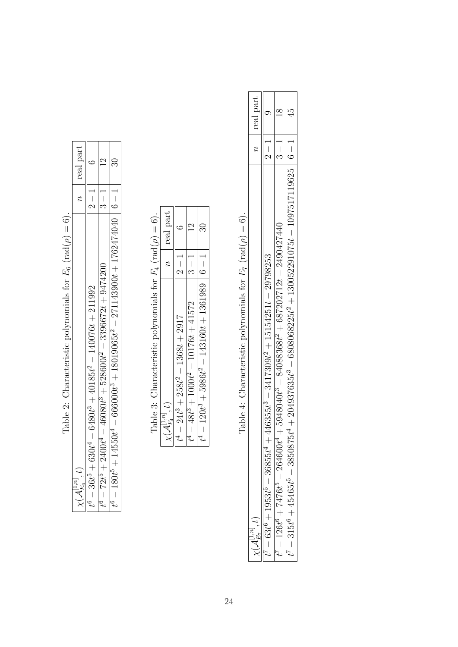| real part                                             | $-1 - 7$<br>$t^6 - 36t^5 + 630t^4 - 6480t^3 + 40185t^2 - 140076t + 211992$ | $\frac{1}{3}$<br>$t^6 - 72t^5 + 2400t^4 - 46080t^3 + 528600t^2 - 3396672t + 9474200$ | $t^6-180t^5+14550t^4-666000t^3+18019065t^2-271143900t+1762474040\mid 6-1\mid$ |  |
|-------------------------------------------------------|----------------------------------------------------------------------------|--------------------------------------------------------------------------------------|-------------------------------------------------------------------------------|--|
| $\chi(\mathcal{A}_{E_6}^{\scriptscriptstyle[1,n]},t)$ |                                                                            |                                                                                      |                                                                               |  |

Table 2: Characteristic polynomials for  $E_6$  (rad( $\rho$ ) = 6). Table 2: Characteristic polynomials for  $E_6$  (rad( $\rho$ ) = 6). Table 3: Characteristic polynomials for  $F_4$  (rad( $\rho$ ) = 6). Table 3: Characteristic polynomials for  $F_4$  (rad( $\rho$ ) = 6).

|                                                         | $\tilde{z}$   | real part          |
|---------------------------------------------------------|---------------|--------------------|
| $1368t + 2917$<br>$\frac{1}{2}$<br>$24t^3 + 258t^2$     |               | م                  |
| $10176t + 41572$<br>$\overline{1}$<br>$48t^3 + 1000t^2$ | $\frac{1}{2}$ | J<br>$\frac{c}{1}$ |
| $-143160t+1361989$<br>$120t^3 + 5986t^2$                |               | ೫                  |

Table 4: Characteristic polynomials for  $E_7$  (rad( $\rho$ ) = 6). Table 4: Characteristic polynomials for  $E_7$  (rad( $\rho$ ) = 6).

|                                                                                                          |                   | n real part |
|----------------------------------------------------------------------------------------------------------|-------------------|-------------|
| $-446355t^3 - 3417309t^2 + 15154251t - 29798253$<br>$-63t^6 + 1953t^5 - 36855t^4$                        | $\frac{1}{2}$     |             |
| $+5948040t^3 - 84088368t^2 + 687202712t - 2490427440$<br>$V = 126t^6 + 7476t^5 - 264600t^4$              | $\frac{1}{3}$ - 1 |             |
| $5t^4 + 204937635t^3 - 6808068225t^2 + 130052291075t - 1097517119625 \mid 6 - 1$<br>$45465t^5 - 3850875$ |                   |             |
|                                                                                                          |                   |             |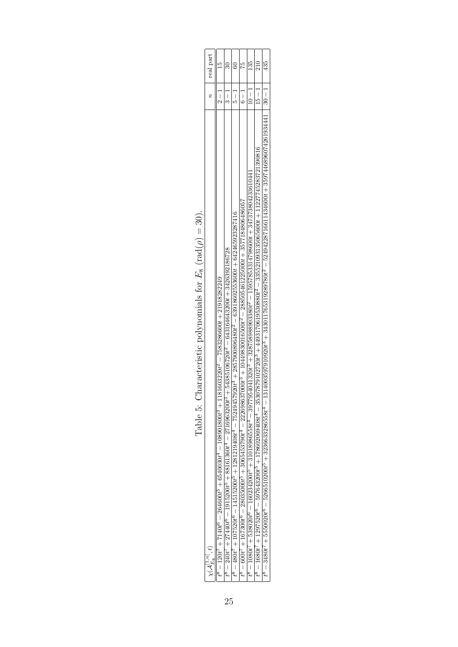| n real part                           | $2-1$                                                                                                                  | $\frac{1}{2}$                                                                                                         |                                                                                                                                  | řs<br>$-1$                                                                                                                                                                                                                                      | $\frac{135}{13}$<br>$-1$ | 210                                                                                                                                                  | 435                                                                                                                                                                        |  |
|---------------------------------------|------------------------------------------------------------------------------------------------------------------------|-----------------------------------------------------------------------------------------------------------------------|----------------------------------------------------------------------------------------------------------------------------------|-------------------------------------------------------------------------------------------------------------------------------------------------------------------------------------------------------------------------------------------------|--------------------------|------------------------------------------------------------------------------------------------------------------------------------------------------|----------------------------------------------------------------------------------------------------------------------------------------------------------------------------|--|
|                                       |                                                                                                                        |                                                                                                                       | $\frac{1}{3}$                                                                                                                    |                                                                                                                                                                                                                                                 |                          |                                                                                                                                                      |                                                                                                                                                                            |  |
| $\chi({\mathcal{A}}_{E_8}^{[1,n]},t)$ | $\mathcal{S}^8 = 120t^7 + 7140t^6 - 264600t^5 + 6540030t^4 - 108901800t^3 + 1181603220t^2 - 7583286600t + 21918282249$ | $t^8 - 240t^7 + 27440t^6 - 1915200t^5 + 88161360t^4 - 2716963200t^3 + 54385106720t^2 - 643164643200t + 3426392186728$ | $t^8 - 480t^7 + 107520t^6 - 14515200t^5 + 1281219408t^4 - 75249457920t^3 + 28579900896480t^2 - 6391860255360t + 642465923287416$ | $t^8 - 600t^7 + 167300t^6 - 28035000t^5 + 3065453790t^4 - 222898637000t^3 + 10449830016500t^2 - 288505461225000t + 35771848064806372t^2 + 10443950000t^2 + 1044395000t^2 + 1000t^3 + 1000t^2 + 1000t^4 + 1000t^2 + 1000t^2 + 1000t^3 + 1000t^2$ |                          | $t^3 - 1680t^7 + 1297520t^6 - 597643200t^5 + 1780020669408t^4 - 35307879102720t^3 + 4493170619530880t^2 - 33552109313506560t + 11227745283721390816$ | $t^8 - 3480t^7 + 5550020t^6 - 5266510200t^5 + 3236553286558t^4 - 13140035979010936979010834201765319289780t^2 - 52494228716611434600t + 3597446896074261934441   30 - 1  $ |  |

Table 5: Characteristic polynomials for  $E_8$  (rad( $\rho$ ) = 30). Table 5: Characteristic polynomials for  $E_8$  (rad $(\rho) = 30$ ).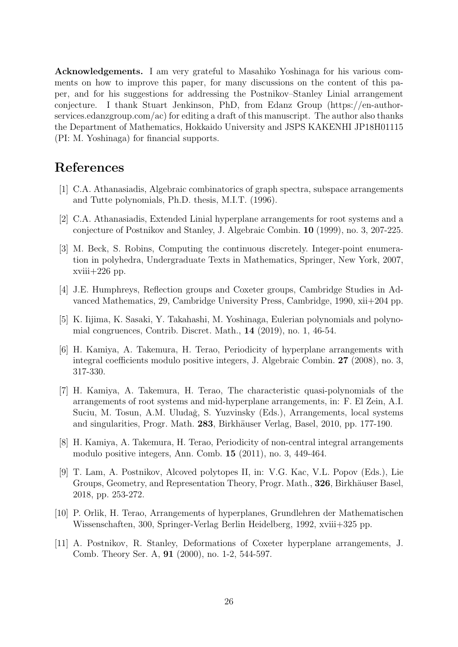Acknowledgements. I am very grateful to Masahiko Yoshinaga for his various comments on how to improve this paper, for many discussions on the content of this paper, and for his suggestions for addressing the Postnikov–Stanley Linial arrangement conjecture. I thank Stuart Jenkinson, PhD, from Edanz Group (https://en-authorservices.edanzgroup.com/ac) for editing a draft of this manuscript. The author also thanks the Department of Mathematics, Hokkaido University and JSPS KAKENHI JP18H01115 (PI: M. Yoshinaga) for financial supports.

# References

- <span id="page-25-7"></span>[1] C.A. Athanasiadis, Algebraic combinatorics of graph spectra, subspace arrangements and Tutte polynomials, Ph.D. thesis, M.I.T. (1996).
- <span id="page-25-1"></span>[2] C.A. Athanasiadis, Extended Linial hyperplane arrangements for root systems and a conjecture of Postnikov and Stanley, J. Algebraic Combin. 10 (1999), no. 3, 207-225.
- <span id="page-25-4"></span>[3] M. Beck, S. Robins, Computing the continuous discretely. Integer-point enumeration in polyhedra, Undergraduate Texts in Mathematics, Springer, New York, 2007,  $xviii+226$  pp.
- <span id="page-25-5"></span>[4] J.E. Humphreys, Reflection groups and Coxeter groups, Cambridge Studies in Advanced Mathematics, 29, Cambridge University Press, Cambridge, 1990, xii+204 pp.
- <span id="page-25-6"></span>[5] K. Iijima, K. Sasaki, Y. Takahashi, M. Yoshinaga, Eulerian polynomials and polynomial congruences, Contrib. Discret. Math., 14 (2019), no. 1, 46-54.
- [6] H. Kamiya, A. Takemura, H. Terao, Periodicity of hyperplane arrangements with integral coefficients modulo positive integers, J. Algebraic Combin. 27 (2008), no. 3, 317-330.
- <span id="page-25-2"></span>[7] H. Kamiya, A. Takemura, H. Terao, The characteristic quasi-polynomials of the arrangements of root systems and mid-hyperplane arrangements, in: F. El Zein, A.I. Suciu, M. Tosun, A.M. Uludağ, S. Yuzvinsky (Eds.), Arrangements, local systems and singularities, Progr. Math. 283, Birkhäuser Verlag, Basel, 2010, pp. 177-190.
- [8] H. Kamiya, A. Takemura, H. Terao, Periodicity of non-central integral arrangements modulo positive integers, Ann. Comb. 15 (2011), no. 3, 449-464.
- <span id="page-25-3"></span>[9] T. Lam, A. Postnikov, Alcoved polytopes II, in: V.G. Kac, V.L. Popov (Eds.), Lie Groups, Geometry, and Representation Theory, Progr. Math., 326, Birkhäuser Basel, 2018, pp. 253-272.
- [10] P. Orlik, H. Terao, Arrangements of hyperplanes, Grundlehren der Mathematischen Wissenschaften, 300, Springer-Verlag Berlin Heidelberg, 1992, xviii+325 pp.
- <span id="page-25-0"></span>[11] A. Postnikov, R. Stanley, Deformations of Coxeter hyperplane arrangements, J. Comb. Theory Ser. A, 91 (2000), no. 1-2, 544-597.